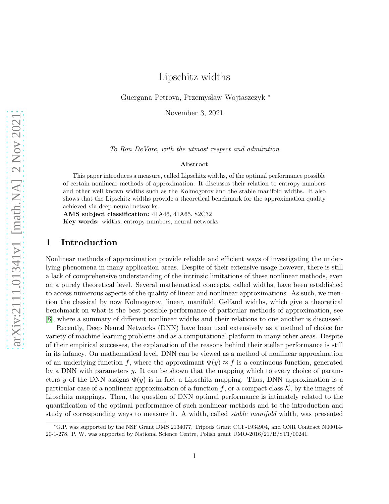Guergana Petrova, Przemysław Wojtaszczyk \*

November 3, 2021

To Ron DeVore, with the utmost respect and admiration

#### Abstract

This paper introduces a measure, called Lipschitz widths, of the optimal performance possible of certain nonlinear methods of approximation. It discusses their relation to entropy numbers and other well known widths such as the Kolmogorov and the stable manifold widths. It also shows that the Lipschitz widths provide a theoretical benchmark for the approximation quality achieved via deep neural networks.

AMS subject classification: 41A46, 41A65, 82C32

Key words: widths, entropy numbers, neural networks

# 1 Introduction

Nonlinear methods of approximation provide reliable and efficient ways of investigating the underlying phenomena in many application areas. Despite of their extensive usage however, there is still a lack of comprehensive understanding of the intrinsic limitations of these nonlinear methods, even on a purely theoretical level. Several mathematical concepts, called widths, have been established to access numerous aspects of the quality of linear and nonlinear approximations. As such, we mention the classical by now Kolmogorov, linear, manifold, Gelfand widths, which give a theoretical benchmark on what is the best possible performance of particular methods of approximation, see [\[8\]](#page-39-0), where a summary of different nonlinear widths and their relations to one another is discussed.

Recently, Deep Neural Networks (DNN) have been used extensively as a method of choice for variety of machine learning problems and as a computational platform in many other areas. Despite of their empirical successes, the explanation of the reasons behind their stellar performance is still in its infancy. On mathematical level, DNN can be viewed as a method of nonlinear approximation of an underlying function f, where the approximant  $\Phi(y) \approx f$  is a continuous function, generated by a DNN with parameters  $y$ . It can be shown that the mapping which to every choice of parameters y of the DNN assigns  $\Phi(y)$  is in fact a Lipschitz mapping. Thus, DNN approximation is a particular case of a nonlinear approximation of a function f, or a compact class  $\mathcal{K}$ , by the images of Lipschitz mappings. Then, the question of DNN optimal performance is intimately related to the quantification of the optimal performance of such nonlinear methods and to the introduction and study of corresponding ways to measure it. A width, called stable manifold width, was presented

<sup>∗</sup>G.P. was supported by the NSF Grant DMS 2134077, Tripods Grant CCF-1934904, and ONR Contract N00014- 20-1-278. P. W. was supported by National Science Centre, Polish grant UMO-2016/21/B/ST1/00241.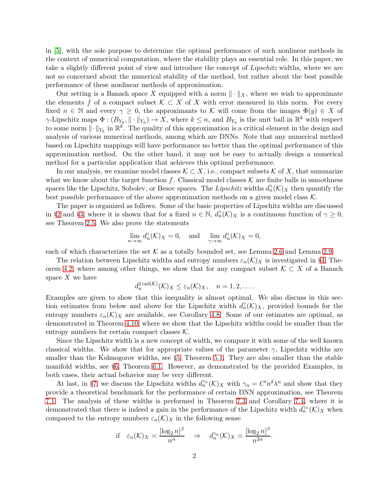in [\[5\]](#page-39-1), with the sole purpose to determine the optimal performance of such nonlinear methods in the context of numerical computation, where the stability plays an essential role. In this paper, we take a slightly different point of view and introduce the concept of *Lipschitz* widths, where we are not so concerned about the numerical stability of the method, but rather about the best possible performance of these nonlinear methods of approximation.

Our setting is a Banach space X equipped with a norm  $\|\cdot\|_X$ , where we wish to approximate the elements f of a compact subset  $K \subset X$  of X with error measured in this norm. For every fixed  $n \in \mathbb{N}$  and every  $\gamma \geq 0$ , the approximants to K will come from the images  $\Phi(y) \in X$  of  $\gamma$ -Lipschitz maps  $\Phi: (B_{Y_k}, \|\cdot\|_{Y_k}) \to X$ , where  $k \leq n$ , and  $B_{Y_k}$  is the unit ball in  $\mathbb{R}^k$  with respect to some norm  $\|\cdot\|_{Y_k}$  in  $\mathbb{R}^k$ . The quality of this approximation is a critical element in the design and analysis of various numerical methods, among which are DNNs. Note that any numerical method based on Lipschitz mappings will have performance no better than the optimal performance of this approximation method. On the other hand, it may not be easy to actually design a numerical method for a particular application that achieves this optimal performance.

In our analysis, we examine model classes  $\mathcal{K} \subset X$ , i.e., compact subsets  $\mathcal{K}$  of X, that summarize what we know about the target function f. Classical model classes  $K$  are finite balls in smoothness spaces like the Lipschitz, Sobolev, or Besov spaces. The *Lipschitz* widths  $d_n^{\gamma}(\mathcal{K})_X$  then quantify the best possible performance of the above approximation methods on a given model class  $K$ .

The paper is organized as follows. Some of the basic properties of Lipschitz widths are discussed in §[2](#page-2-0) and §[3,](#page-10-0) where it is shown that for a fixed  $n \in \mathbb{N}$ ,  $d_n(\mathcal{K})_X$  is a continuous function of  $\gamma \geq 0$ , see Theorem [2.5.](#page-6-0) We also prove the statements

$$
\lim_{n \to \infty} d_n^{\gamma}(\mathcal{K})_X = 0, \text{ and } \lim_{\gamma \to \infty} d_n^{\gamma}(\mathcal{K})_X = 0,
$$

each of which characterizes the set  $K$  as a totally bounded set, see Lemma [2.6](#page-7-0) and Lemma [2.9.](#page-9-0)

The relation between Lipschitz widths and entropy numbers  $\varepsilon_n(\mathcal{K})$  is investigated in §[4,](#page-13-0) The-orem [4.2,](#page-14-0) where among other things, we show that for any compact subset  $\mathcal{K} \subset X$  of a Banach space  $X$  we have

$$
d_n^{2\operatorname{rad}(\mathcal{K})}(\mathcal{K})_X \leq \varepsilon_n(\mathcal{K})_X, \quad n = 1, 2, \dots.
$$

Examples are given to show that this inequality is almost optimal. We also discuss in this section estimates from below and above for the Lipschitz width  $d_n(\mathcal{K})_X$ , provided bounds for the entropy numbers  $\varepsilon_n(\mathcal{K})_X$  are available, see Corollary [4.8.](#page-21-0) Some of our estimates are optimal, as demonstrated in Theorem [4.10,](#page-24-0) where we show that the Lipschitz widths could be smaller than the entropy numbers for certain compact classes  $K$ .

Since the Lipschitz width is a new concept of width, we compare it with some of the well known classical widths. We show that for appropriate values of the parameter  $\gamma$ , Lipschitz widths are smaller than the Kolmogorov widths, see §[5,](#page-26-0) Theorem [5.1.](#page-27-0) They are also smaller than the stable manifold widths, see §[6,](#page-31-0) Theorem [6.1.](#page-32-0) However, as demonstrated by the provided Examples, in both cases, their actual behavior may be very different.

At last, in §[7,](#page-33-0) we discuss the Lipschitz widths  $d_n^{\gamma_n}(\mathcal{K})_X$  with  $\gamma_n = C'n^{\delta}\lambda^n$  and show that they provide a theoretical benchmark for the performance of certain DNN approximation, see Theorem [7.1.](#page-33-1) The analysis of these widths is performed in Theorem [7.3](#page-35-0) and Corollary [7.4,](#page-38-0) where it is demonstrated that there is indeed a gain in the performance of the Lipschitz width  $d_n^{\gamma_n}(\mathcal{K})_X$  when compared to the entropy numbers  $\varepsilon_n(\mathcal{K})_X$  in the following sense

$$
\text{if } \varepsilon_n(\mathcal{K})_X \asymp \frac{[\log_2 n]^\beta}{n^\alpha} \quad \Rightarrow \quad d_n^{\gamma_n}(\mathcal{K})_X \asymp \frac{[\log_2 n]^\beta}{n^{2\alpha}}.
$$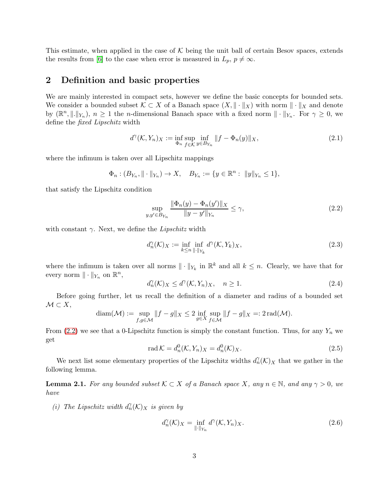This estimate, when applied in the case of  $K$  being the unit ball of certain Besov spaces, extends the results from [\[6\]](#page-39-2) to the case when error is measured in  $L_p$ ,  $p \neq \infty$ .

# <span id="page-2-0"></span>2 Definition and basic properties

We are mainly interested in compact sets, however we define the basic concepts for bounded sets. We consider a bounded subset  $\mathcal{K} \subset X$  of a Banach space  $(X, \|\cdot\|_X)$  with norm  $\|\cdot\|_X$  and denote by  $(\mathbb{R}^n, \|\cdot\|_{Y_n}), n \geq 1$  the n-dimensional Banach space with a fixed norm  $\|\cdot\|_{Y_n}$ . For  $\gamma \geq 0$ , we define the fixed Lipschitz width

<span id="page-2-3"></span>
$$
d^{\gamma}(\mathcal{K}, Y_n)_X := \inf_{\Phi_n} \sup_{f \in \mathcal{K}} \inf_{y \in B_{Y_n}} ||f - \Phi_n(y)||_X, \tag{2.1}
$$

where the infimum is taken over all Lipschitz mappings

$$
\Phi_n : (B_{Y_n}, \|\cdot\|_{Y_n}) \to X, \quad B_{Y_n} := \{y \in \mathbb{R}^n : \|y\|_{Y_n} \le 1\},\
$$

that satisfy the Lipschitz condition

<span id="page-2-1"></span>
$$
\sup_{y,y' \in B_{Y_n}} \frac{\|\Phi_n(y) - \Phi_n(y')\|_X}{\|y - y'\|_{Y_n}} \le \gamma,
$$
\n(2.2)

with constant  $\gamma$ . Next, we define the *Lipschitz* width

$$
d_n^{\gamma}(\mathcal{K})_X := \inf_{k \le n} \inf_{\|\cdot\|_{Y_k}} d^{\gamma}(\mathcal{K}, Y_k)_X, \tag{2.3}
$$

where the infimum is taken over all norms  $\|\cdot\|_{Y_k}$  in  $\mathbb{R}^k$  and all  $k \leq n$ . Clearly, we have that for every norm  $\|\cdot\|_{Y_n}$  on  $\mathbb{R}^n$ ,

$$
d_n^{\gamma}(\mathcal{K})_X \le d^{\gamma}(\mathcal{K}, Y_n)_X, \quad n \ge 1. \tag{2.4}
$$

Before going further, let us recall the definition of a diameter and radius of a bounded set  $\mathcal{M} \subset X$ ,

$$
\operatorname{diam}(\mathcal{M}) := \sup_{f,g \in \mathcal{M}} \|f - g\|_X \le 2 \inf_{g \in X} \sup_{f \in \mathcal{M}} \|f - g\|_X =: 2 \operatorname{rad}(\mathcal{M}).
$$

From [\(2.2\)](#page-2-1) we see that a 0-Lipschitz function is simply the constant function. Thus, for any  $Y_n$  we get

<span id="page-2-4"></span>
$$
\operatorname{rad} \mathcal{K} = d_n^0(\mathcal{K}, Y_n)_X = d_n^0(\mathcal{K})_X. \tag{2.5}
$$

We next list some elementary properties of the Lipschitz widths  $d_n^{\gamma}(\mathcal{K})$ <sub>X</sub> that we gather in the following lemma.

<span id="page-2-5"></span>**Lemma 2.1.** For any bounded subset  $K \subset X$  of a Banach space X, any  $n \in \mathbb{N}$ , and any  $\gamma > 0$ , we have

(i) The Lipschitz width  $d_n(\mathcal{K})$ <sub>X</sub> is given by

<span id="page-2-2"></span>
$$
d_n^{\gamma}(\mathcal{K})_X = \inf_{\|\cdot\|_{Y_n}} d^{\gamma}(\mathcal{K}, Y_n)_X. \tag{2.6}
$$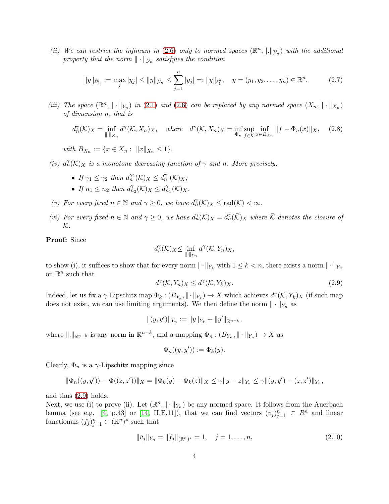(ii) We can restrict the infimum in [\(2.6\)](#page-2-2) only to normed spaces  $(\mathbb{R}^n, \|\cdot\|_{\mathcal{Y}_n})$  with the additional property that the norm  $\|\cdot\|_{\mathcal{Y}_n}$  satisfyies the condition

<span id="page-3-2"></span>
$$
||y||_{\ell_{\infty}^{n}} := \max_{j} |y_{j}| \le ||y||_{\mathcal{Y}_{n}} \le \sum_{j=1}^{n} |y_{j}| =: ||y||_{\ell_{1}^{n}}, \quad y = (y_{1}, y_{2}, \dots, y_{n}) \in \mathbb{R}^{n}.
$$
 (2.7)

(iii) The space  $(\mathbb{R}^n, \|\cdot\|_{Y_n})$  in [\(2.1\)](#page-2-3) and [\(2.6\)](#page-2-2) can be replaced by any normed space  $(X_n, \|\cdot\|_{X_n})$ of dimension n, that is

<span id="page-3-3"></span>
$$
d_n^{\gamma}(\mathcal{K})_X = \inf_{\|\cdot\|_{X_n}} d^{\gamma}(\mathcal{K}, X_n)_X, \quad \text{where} \quad d^{\gamma}(\mathcal{K}, X_n)_X = \inf_{\Phi_n} \sup_{f \in \mathcal{K}} \inf_{x \in B_{X_n}} \|f - \Phi_n(x)\|_X, \quad (2.8)
$$

with  $B_{X_n} := \{x \in X_n : ||x||_{X_n} \leq 1\}.$ 

- (iv)  $d_n^{\gamma}(\mathcal{K})$ <sub>X</sub> is a monotone decreasing function of  $\gamma$  and n. More precisely,
	- If  $\gamma_1 \leq \gamma_2$  then  $d_n^{\gamma_2}(\mathcal{K})_X \leq d_n^{\gamma_1}(\mathcal{K})_X$ ;
	- If  $n_1 \leq n_2$  then  $d_{n_2}^{\gamma}(\mathcal{K})_X \leq d_{n_1}^{\gamma}(\mathcal{K})_X$ .
- (v) For every fixed  $n \in \mathbb{N}$  and  $\gamma \geq 0$ , we have  $d_n(\mathcal{K})_X \leq \text{rad}(\mathcal{K}) < \infty$ .
- (vi) For every fixed  $n \in \mathbb{N}$  and  $\gamma \geq 0$ , we have  $d_n(\mathcal{K})_X = d_n(\bar{\mathcal{K}})_X$  where  $\bar{\mathcal{K}}$  denotes the closure of  ${\cal K}.$

Proof: Since

$$
d_n^{\gamma}(\mathcal{K})_X \leq \inf_{\|\cdot\|_{Y_n}} d^{\gamma}(\mathcal{K}, Y_n)_X,
$$

to show (i), it suffices to show that for every norm  $\|\cdot\|_{Y_k}$  with  $1 \leq k < n$ , there exists a norm  $\|\cdot\|_{Y_n}$ on  $\mathbb{R}^n$  such that

<span id="page-3-0"></span>
$$
d^{\gamma}(\mathcal{K}, Y_n)_X \le d^{\gamma}(\mathcal{K}, Y_k)_X. \tag{2.9}
$$

Indeed, let us fix a  $\gamma$ -Lipschitz map  $\Phi_k: (B_{Y_k}, \|\cdot\|_{Y_k}) \to X$  which achieves  $d^{\gamma}(\mathcal{K}, Y_k)_X$  (if such map does not exist, we can use limiting arguments). We then define the norm  $\|\cdot\|_{Y_n}$  as

$$
||(y, y')||_{Y_n} := ||y||_{Y_k} + ||y'||_{\mathbb{R}^{n-k}},
$$

where  $\|.\|_{\mathbb{R}^{n-k}}$  is any norm in  $\mathbb{R}^{n-k}$ , and a mapping  $\Phi_n : (B_{Y_n}, \|\cdot\|_{Y_n}) \to X$  as

$$
\Phi_n((y,y')) := \Phi_k(y).
$$

Clearly,  $\Phi_n$  is a  $\gamma$ -Lipschitz mapping since

$$
\|\Phi_n((y,y')) - \Phi((z,z'))\|_X = \|\Phi_k(y) - \Phi_k(z)\|_X \leq \gamma \|y - z\|_{Y_k} \leq \gamma \|(y,y') - (z,z')\|_{Y_n},
$$

and thus [\(2.9\)](#page-3-0) holds.

Next, we use (i) to prove (ii). Let  $(\mathbb{R}^n, \|\cdot\|_{Y_n})$  be any normed space. It follows from the Auerbach lemma (see e.g. [\[4,](#page-39-3) p.43] or [\[14,](#page-39-4) II.E.11]), that we can find vectors  $(\bar{v}_j)_{j=1}^n \subset R^n$  and linear functionals  $(f_j)_{j=1}^n \subset (\mathbb{R}^n)^*$  such that

<span id="page-3-1"></span>
$$
\|\bar{v}_j\|_{Y_n} = \|f_j\|_{(\mathbb{R}^n)^*} = 1, \quad j = 1, \dots, n,
$$
\n(2.10)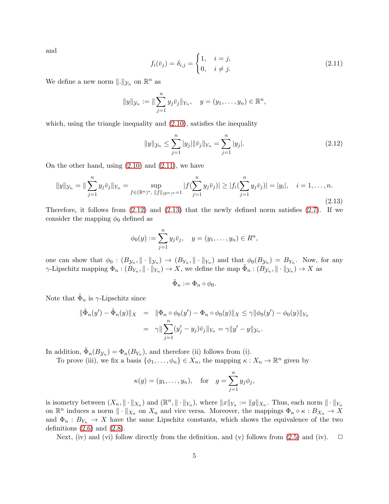and

<span id="page-4-0"></span>
$$
f_i(\bar{v}_j) = \delta_{i,j} = \begin{cases} 1, & i = j, \\ 0, & i \neq j. \end{cases}
$$
 (2.11)

We define a new norm  $\|.\|_{\mathcal{Y}_n}$  on  $\mathbb{R}^n$  as

$$
||y||_{\mathcal{Y}_n} := ||\sum_{j=1}^n y_j \bar{v}_j||_{Y_n}, \quad y = (y_1, \dots, y_n) \in \mathbb{R}^n
$$

which, using the triangle inequality and  $(2.10)$ , satisfies the inequality

<span id="page-4-1"></span>
$$
||y||_{\mathcal{Y}_n} \le \sum_{j=1}^n |y_j| ||\bar{v}_j||_{Y_n} = \sum_{j=1}^n |y_j|.
$$
 (2.12)

On the other hand, using  $(2.10)$  and  $(2.11)$ , we have

<span id="page-4-2"></span>
$$
||y||_{\mathcal{Y}_n} = ||\sum_{j=1}^n y_j \bar{v}_j||_{Y_n} = \sup_{f \in (\mathbb{R}^n)^*, ||f||_{(\mathbb{R}^n)^*} = 1} |f(\sum_{j=1}^n y_j \bar{v}_j)| \ge |f_i(\sum_{j=1}^n y_j \bar{v}_j)| = |y_i|, \quad i = 1, \dots, n.
$$
\n(2.13)

Therefore, it follows from [\(2.12\)](#page-4-1) and [\(2.13\)](#page-4-2) that the newly defined norm satisfies [\(2.7\)](#page-3-2). If we consider the mapping  $\phi_0$  defined as

$$
\phi_0(y) := \sum_{j=1}^n y_j \bar{v}_j, \quad y = (y_1, \dots, y_n) \in R^n,
$$

one can show that  $\phi_0: (B_{\mathcal{Y}_n}, \|\cdot\|_{\mathcal{Y}_n}) \to (B_{Y_n}, \|\cdot\|_{Y_n})$  and that  $\phi_0(B_{\mathcal{Y}_n}) = B_{Y_n}$ . Now, for any  $\gamma$ -Lipschitz mapping  $\Phi_n : (B_{Y_n}, \|\cdot\|_{Y_n}) \to X$ , we define the map  $\tilde{\Phi}_n : (B_{Y_n}, \|\cdot\|_{Y_n}) \to X$  as

$$
\tilde{\Phi}_n := \Phi_n \circ \phi_0.
$$

Note that  $\tilde{\Phi}_n$  is  $\gamma$ -Lipschitz since

$$
\|\tilde{\Phi}_n(y') - \tilde{\Phi}_n(y)\|_X = \|\Phi_n \circ \phi_0(y') - \Phi_n \circ \phi_0(y)\|_X \leq \gamma \|\phi_0(y') - \phi_0(y)\|_{Y_n}
$$
  
=  $\gamma \|\sum_{j=1}^n (y'_j - y_j)\bar{v}_j\|_{Y_n} = \gamma \|y' - y\|_{\mathcal{Y}_n}.$ 

In addition,  $\tilde{\Phi}_n(B_{\mathcal{Y}_n}) = \Phi_n(B_{Y_n})$ , and therefore (ii) follows from (i).

To prove (iii), we fix a basis  $\{\phi_1, \ldots, \phi_n\} \in X_n$ , the mapping  $\kappa : X_n \to \mathbb{R}^n$  given by

$$
\kappa(g) = (y_1, \ldots, y_n),
$$
 for  $g = \sum_{j=1}^n y_j \phi_j,$ 

is isometry between  $(X_n, \|\cdot\|_{X_n})$  and  $(\mathbb{R}^n, \|\cdot\|_{Y_n})$ , where  $\|x\|_{Y_n} := \|g\|_{X_n}$ . Thus, each norm  $\|\cdot\|_{Y_n}$ on  $\mathbb{R}^n$  induces a norm  $\|\cdot\|_{X_n}$  on  $X_n$  and vice versa. Moreover, the mappings  $\Phi_n \circ \kappa : B_{X_n} \to X$ and  $\Phi_n: B_{Y_n} \to X$  have the same Lipschitz constants, which shows the equivalence of the two definitions  $(2.6)$  and  $(2.8)$ .

Next, (iv) and (vi) follow directly from the definition, and (v) follows from [\(2.5\)](#page-2-4) and (iv).  $\Box$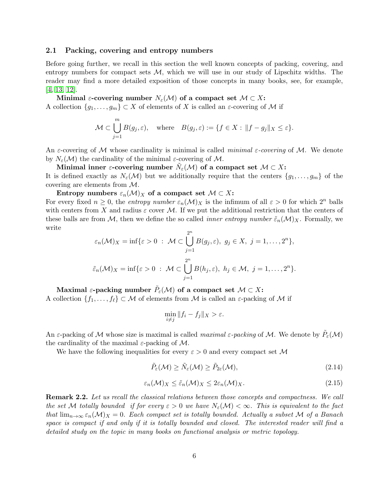#### 2.1 Packing, covering and entropy numbers

Before going further, we recall in this section the well known concepts of packing, covering, and entropy numbers for compact sets  $M$ , which we will use in our study of Lipschitz widths. The reader may find a more detailed exposition of those concepts in many books, see, for example, [\[4,](#page-39-3) [13,](#page-39-5) [12\]](#page-39-6).

Minimal  $\varepsilon$ -covering number  $N_{\varepsilon}(\mathcal{M})$  of a compact set  $\mathcal{M} \subset X$ : A collection  $\{g_1, \ldots, g_m\} \subset X$  of elements of X is called an  $\varepsilon$ -covering of M if

$$
\mathcal{M} \subset \bigcup_{j=1}^{m} B(g_j, \varepsilon), \quad \text{where} \quad B(g_j, \varepsilon) := \{ f \in X : ||f - g_j||_X \le \varepsilon \}.
$$

An *ε*-covering of M whose cardinality is minimal is called *minimal ε-covering* of M. We denote by  $N_{\varepsilon}(\mathcal{M})$  the cardinality of the minimal  $\varepsilon$ -covering of M.

Minimal inner  $\varepsilon$ -covering number  $\tilde N_\varepsilon(\mathcal{M})$  of a compact set  $\mathcal{M}\subset X$ : It is defined exactly as  $N_{\varepsilon}(\mathcal{M})$  but we additionally require that the centers  $\{g_1, \ldots, g_m\}$  of the covering are elements from M.

Entropy numbers  $\varepsilon_n(\mathcal{M})_X$  of a compact set  $\mathcal{M} \subset X$ :

For every fixed  $n \geq 0$ , the entropy number  $\varepsilon_n(\mathcal{M})_X$  is the infimum of all  $\varepsilon > 0$  for which  $2^n$  balls with centers from X and radius  $\varepsilon$  cover M. If we put the additional restriction that the centers of these balls are from M, then we define the so called *inner entropy number*  $\tilde{\varepsilon}_n(\mathcal{M})_X$ . Formally, we write n

$$
\varepsilon_n(\mathcal{M})_X = \inf \{ \varepsilon > 0 \; : \; \mathcal{M} \subset \bigcup_{j=1}^{2^n} B(g_j, \varepsilon), \; g_j \in X, \; j = 1, \dots, 2^n \},
$$
  

$$
\tilde{\varepsilon}_n(\mathcal{M})_X = \inf \{ \varepsilon > 0 \; : \; \mathcal{M} \subset \bigcup_{j=1}^{2^n} B(h_j, \varepsilon), \; h_j \in \mathcal{M}, \; j = 1, \dots, 2^n \}.
$$

 $\operatorname{Maximal}\varepsilon\text{-packing number }\tilde{P}_\varepsilon(\mathcal{M})\text{ of a compact set }\mathcal{M}\subset X\text{: }$ A collection  $\{f_1, \ldots, f_\ell\} \subset \mathcal{M}$  of elements from  $\mathcal M$  is called an  $\varepsilon$ -packing of  $\mathcal M$  if

$$
\min_{i \neq j} \|f_i - f_j\|_X > \varepsilon.
$$

An  $\varepsilon$ -packing of M whose size is maximal is called *maximal*  $\varepsilon$ -packing of M. We denote by  $\tilde{P}_{\varepsilon}(M)$ the cardinality of the maximal  $\varepsilon$ -packing of M.

We have the following inequalities for every  $\varepsilon > 0$  and every compact set M

<span id="page-5-1"></span>
$$
\tilde{P}_{\varepsilon}(\mathcal{M}) \ge \tilde{N}_{\varepsilon}(\mathcal{M}) \ge \tilde{P}_{2\varepsilon}(\mathcal{M}),\tag{2.14}
$$

<span id="page-5-0"></span>
$$
\varepsilon_n(\mathcal{M})_X \le \tilde{\varepsilon}_n(\mathcal{M})_X \le 2\varepsilon_n(\mathcal{M})_X. \tag{2.15}
$$

<span id="page-5-2"></span>Remark 2.2. Let us recall the classical relations between those concepts and compactness. We call the set M totally bounded if for every  $\varepsilon > 0$  we have  $N_{\varepsilon}(\mathcal{M}) < \infty$ . This is equivalent to the fact that  $\lim_{n\to\infty} \varepsilon_n(\mathcal{M})_X = 0$ . Each compact set is totally bounded. Actually a subset M of a Banach space is compact if and only if it is totally bounded and closed. The interested reader will find a detailed study on the topic in many books on functional analysis or metric topology.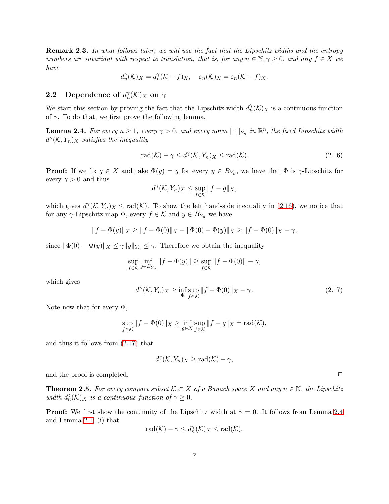<span id="page-6-4"></span>Remark 2.3. In what follows later, we will use the fact that the Lipschitz widths and the entropy numbers are invariant with respect to translation, that is, for any  $n \in \mathbb{N}, \gamma \geq 0$ , and any  $f \in X$  we have

$$
d_n^{\gamma}(\mathcal{K})_X = d_n^{\gamma}(\mathcal{K} - f)_X, \quad \varepsilon_n(\mathcal{K})_X = \varepsilon_n(\mathcal{K} - f)_X.
$$

# **2.2** Dependence of  $d_n^{\gamma}(\mathcal{K})_X$  on  $\gamma$

We start this section by proving the fact that the Lipschitz width  $d_n^{\gamma}(\mathcal{K})_X$  is a continuous function of  $\gamma$ . To do that, we first prove the following lemma.

<span id="page-6-3"></span>**Lemma 2.4.** For every  $n \geq 1$ , every  $\gamma > 0$ , and every norm  $\|\cdot\|_{Y_n}$  in  $\mathbb{R}^n$ , the fixed Lipschitz width  $d^{\gamma}(\mathcal{K}, Y_n)_X$  satisfies the inequality

<span id="page-6-1"></span>
$$
\operatorname{rad}(\mathcal{K}) - \gamma \le d^{\gamma}(\mathcal{K}, Y_n)_X \le \operatorname{rad}(\mathcal{K}).\tag{2.16}
$$

**Proof:** If we fix  $g \in X$  and take  $\Phi(y) = g$  for every  $y \in B_{Y_n}$ , we have that  $\Phi$  is  $\gamma$ -Lipschitz for every  $\gamma > 0$  and thus

$$
d^{\gamma}(\mathcal{K}, Y_n)_X \leq \sup_{f \in \mathcal{K}} \|f - g\|_X,
$$

which gives  $d^{\gamma}(\mathcal{K}, Y_n)_X \leq \text{rad}(\mathcal{K})$ . To show the left hand-side inequality in [\(2.16\)](#page-6-1), we notice that for any  $\gamma$ -Lipschitz map  $\Phi$ , every  $f \in \mathcal{K}$  and  $y \in B_{Y_n}$  we have

$$
||f - \Phi(y)||_X \ge ||f - \Phi(0)||_X - ||\Phi(0) - \Phi(y)||_X \ge ||f - \Phi(0)||_X - \gamma,
$$

since  $\|\Phi(0) - \Phi(y)\|_X \leq \gamma \|y\|_{Y_n} \leq \gamma$ . Therefore we obtain the inequality

$$
\sup_{f \in \mathcal{K}} \inf_{y \in B_{Y_n}} ||f - \Phi(y)|| \ge \sup_{f \in \mathcal{K}} ||f - \Phi(0)|| - \gamma,
$$

which gives

<span id="page-6-2"></span>
$$
d^{\gamma}(\mathcal{K}, Y_n)_X \ge \inf_{\Phi} \sup_{f \in \mathcal{K}} \|f - \Phi(0)\|_X - \gamma. \tag{2.17}
$$

Note now that for every  $\Phi$ ,

$$
\sup_{f \in \mathcal{K}} \|f - \Phi(0)\|_X \ge \inf_{g \in X} \sup_{f \in \mathcal{K}} \|f - g\|_X = \text{rad}(\mathcal{K}),
$$

and thus it follows from [\(2.17\)](#page-6-2) that

$$
d^{\gamma}(\mathcal{K}, Y_n)_X \geq \text{rad}(\mathcal{K}) - \gamma,
$$

and the proof is completed.  $\Box$ 

<span id="page-6-0"></span>**Theorem 2.5.** For every compact subset  $K \subset X$  of a Banach space X and any  $n \in \mathbb{N}$ , the Lipschitz width  $d_n(\mathcal{K})_X$  is a continuous function of  $\gamma \geq 0$ .

**Proof:** We first show the continuity of the Lipschitz width at  $\gamma = 0$ . It follows from Lemma [2.4](#page-6-3) and Lemma [2.1,](#page-2-5) (i) that

$$
rad(\mathcal{K}) - \gamma \leq d_n^{\gamma}(\mathcal{K})_X \leq rad(\mathcal{K}).
$$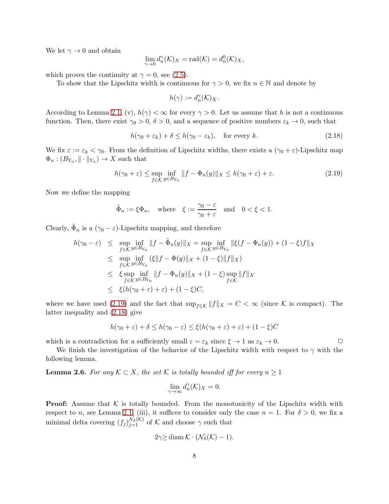We let  $\gamma \rightarrow 0$  and obtain

$$
\lim_{\gamma \to 0} d_n^{\gamma}(\mathcal{K})_X = \text{rad}(\mathcal{K}) = d_n^0(\mathcal{K})_X,
$$

which proves the continuity at  $\gamma = 0$ , see [\(2.5\)](#page-2-4).

To show that the Lipschitz width is continuous for  $\gamma > 0$ , we fix  $n \in \mathbb{N}$  and denote by

$$
h(\gamma):=d_n^\gamma(\mathcal{K})_X.
$$

According to Lemma [2.1,](#page-2-5) (v),  $h(\gamma) < \infty$  for every  $\gamma > 0$ . Let us assume that h is not a continuous function. Then, there exist  $\gamma_0 > 0$ ,  $\delta > 0$ , and a sequence of positive numbers  $\varepsilon_k \to 0$ , such that

<span id="page-7-2"></span>
$$
h(\gamma_0 + \varepsilon_k) + \delta \le h(\gamma_0 - \varepsilon_k), \quad \text{for every } k. \tag{2.18}
$$

We fix  $\varepsilon := \varepsilon_k < \gamma_0$ . From the definition of Lipschitz widths, there exists a  $(\gamma_0 + \varepsilon)$ -Lipschitz map  $\Phi_n : (B_{Y_n}, \|\cdot\|_{Y_n}) \to X$  such that

<span id="page-7-1"></span>
$$
h(\gamma_0 + \varepsilon) \le \sup_{f \in \mathcal{K}} \inf_{y \in B_{Y_n}} \|f - \Phi_n(y)\|_X \le h(\gamma_0 + \varepsilon) + \varepsilon. \tag{2.19}
$$

Now we define the mapping

$$
\tilde{\Phi}_n := \xi \Phi_n, \quad \text{where} \quad \xi := \frac{\gamma_0 - \varepsilon}{\gamma_0 + \varepsilon} \quad \text{and} \quad 0 < \xi < 1.
$$

Clearly,  $\tilde{\Phi}_n$  is a  $(\gamma_0 - \varepsilon)$ -Lipschitz mapping, and therefore

$$
h(\gamma_0 - \varepsilon) \leq \sup_{f \in \mathcal{K}} \inf_{y \in B_{Y_n}} \|f - \tilde{\Phi}_n(y)\|_X = \sup_{f \in \mathcal{K}} \inf_{y \in B_{Y_n}} \|\xi(f - \Phi_n(y)) + (1 - \xi)f\|_X
$$
  
\n
$$
\leq \sup_{f \in \mathcal{K}} \inf_{y \in B_{Y_n}} (\xi \|f - \Phi(y)\|_X + (1 - \xi)\|f\|_X)
$$
  
\n
$$
\leq \xi \sup_{f \in \mathcal{K}} \inf_{y \in B_{Y_n}} \|f - \Phi_n(y)\|_X + (1 - \xi) \sup_{f \in \mathcal{K}} \|f\|_X
$$
  
\n
$$
\leq \xi (h(\gamma_0 + \varepsilon) + \varepsilon) + (1 - \xi)C,
$$

where we have used [\(2.19\)](#page-7-1) and the fact that  $\sup_{f \in \mathcal{K}} ||f||_X = C < \infty$  (since K is compact). The latter inequality and [\(2.18\)](#page-7-2) give

$$
h(\gamma_0 + \varepsilon) + \delta \le h(\gamma_0 - \varepsilon) \le \xi(h(\gamma_0 + \varepsilon) + \varepsilon) + (1 - \xi)C
$$

which is a contradiction for a sufficiently small  $\varepsilon = \varepsilon_k$  since  $\xi \to 1$  as  $\varepsilon_k \to 0$ .

We finish the investigation of the behavior of the Lipschitz width with respect to  $\gamma$  with the following lemma.

<span id="page-7-0"></span>**Lemma 2.6.** For any  $K \subset X$ , the set K is totally bounded iff for every  $n \geq 1$ 

$$
\lim_{\gamma \to \infty} d_n^{\gamma}(\mathcal{K})_X = 0.
$$

**Proof:** Assume that  $K$  is totally bounded. From the monotonicity of the Lipschitz width with respect to n, see Lemma [2.1,](#page-2-5) (iii), it suffices to consider only the case  $n = 1$ . For  $\delta > 0$ , we fix a minimal delta covering  $(f_j)_{j=1}^{\mathcal{N}_{\delta}(\mathcal{K})}$  of  $\mathcal K$  and choose  $\gamma$  such that

$$
2\gamma \geq \operatorname{diam} \mathcal{K} \cdot (\mathcal{N}_{\delta}(\mathcal{K}) - 1).
$$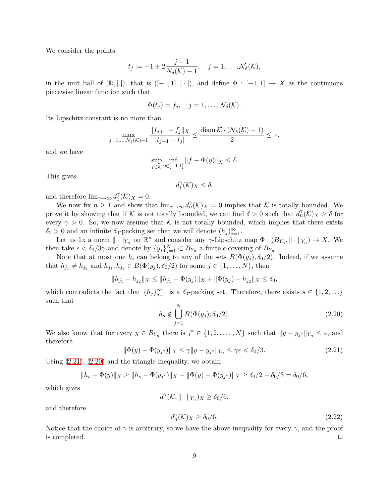We consider the points

$$
t_j := -1 + 2\frac{j-1}{N_{\delta}(\mathcal{K}) - 1}, \quad j = 1, ..., \mathcal{N}_{\delta}(\mathcal{K}),
$$

in the unit ball of  $(\mathbb{R}, |.|),$  that is  $([-1, 1], | \cdot |),$  and define  $\Phi : [-1, 1] \to X$  as the continuous piecewise linear function such that

$$
\Phi(t_j)=f_j, \quad j=1,\ldots,\mathcal{N}_{\delta}(\mathcal{K}).
$$

Its Lipschitz constant is no more than

$$
\max_{j=1,...,N_{\delta}(\mathcal{K})-1} \frac{\|f_{j+1}-f_j\|_{X}}{|t_{j+1}-t_j|} \le \frac{\text{diam }\mathcal{K} \cdot (\mathcal{N}_{\delta}(\mathcal{K})-1)}{2} \le \gamma.
$$

and we have

$$
\sup_{f \in \mathcal{K}} \inf_{y \in [-1,1]} \|f - \Phi(y)\|_X \le \delta.
$$

This gives

$$
d_1^{\gamma}(\mathcal{K})_X \leq \delta,
$$

and therefore  $\lim_{\gamma\to\infty} d_1^\gamma$  $j^{\gamma}_{1}(\mathcal{K})_{X}=0.$ 

We now fix  $n \geq 1$  and show that  $\lim_{\gamma \to \infty} d_n^{\gamma}(\mathcal{K})_X = 0$  implies that K is totally bounded. We prove it by showing that if K is not totally bounded, we can find  $\delta > 0$  such that  $d_n(\mathcal{K})_X \geq \delta$  for every  $\gamma > 0$ . So, we now assume that K is not totally bounded, which implies that there exists  $\delta_0 > 0$  and an infinite  $\delta_0$ -packing set that we will denote  $(h_j)_{j=1}^{\infty}$ .

Let us fix a norm  $\|\cdot\|_{Y_n}$  on  $\mathbb{R}^n$  and consider any  $\gamma$ -Lipschitz map  $\Phi: (B_{Y_n}, \|\cdot\|_{Y_n}) \to X$ . We then take  $\epsilon < \delta_0/3\gamma$  and denote by  $\{y_j\}_{j=1}^N \subset B_{Y_n}$  a finite  $\epsilon$ -covering of  $B_{Y_n}$ .

Note that at most one  $h_i$  can belong to any of the sets  $B(\Phi(y_i), \delta_0/2)$ . Indeed, if we assume that  $h_{j_1} \neq h_{j_2}$  and  $h_{j_1}, h_{j_2} \in B(\Phi(y_j), \delta_0/2)$  for some  $j \in \{1, ..., N\}$ , then

$$
||h_{j_1} - h_{j_2}||_X \le ||h_{j_1} - \Phi(y_j)||_X + ||\Phi(y_j) - h_{j_2}||_X \le \delta_0,
$$

which contradicts the fact that  $\{h_j\}_{j=1}^{\infty}$  is a  $\delta_0$ -packing set. Therefore, there exists  $s \in \{1, 2, \ldots\}$ such that

<span id="page-8-1"></span>
$$
h_s \notin \bigcup_{j=1}^{N} B(\Phi(y_j), \delta_0/2). \tag{2.20}
$$

We also know that for every  $y \in B_{Y_n}$  there is  $j^* \in \{1, 2, ..., N\}$  such that  $||y - y_{j*}||_{Y_n} \leq \varepsilon$ , and therefore

<span id="page-8-0"></span>
$$
\|\Phi(y) - \Phi(y_{j^*})\|_X \le \gamma \|y - y_{j^*}\|_{Y_n} \le \gamma \varepsilon < \delta_0/3. \tag{2.21}
$$

Using [\(2.21\)](#page-8-0), [\(2.20\)](#page-8-1) and the triangle inequality, we obtain

$$
||h_s - \Phi(y)||_X \ge ||h_s - \Phi(y_{j^*})||_X - \|\Phi(y) - \Phi(y_{j^*})||_X \ge \delta_0/2 - \delta_0/3 = \delta_0/6,
$$

which gives

$$
d^{\gamma}(\mathcal{K}, \|\cdot\|_{Y_n})_X \ge \delta_0/6,
$$

and therefore

<span id="page-8-2"></span>
$$
d_n^{\gamma}(\mathcal{K})_X \ge \delta_0/6. \tag{2.22}
$$

Notice that the choice of  $\gamma$  is arbitrary, so we have the above inequality for every  $\gamma$ , and the proof is completed.  $\Box$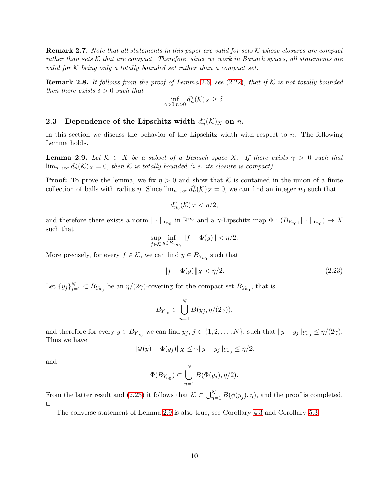**Remark 2.7.** Note that all statements in this paper are valid for sets K whose closures are compact rather than sets K that are compact. Therefore, since we work in Banach spaces, all statements are valid for  $K$  being only a totally bounded set rather than a compact set.

**Remark 2.8.** It follows from the proof of Lemma [2.6](#page-7-0), see [\(2.22\)](#page-8-2), that if K is not totally bounded then there exists  $\delta > 0$  such that

$$
\inf_{\gamma>0, n>0} d_n^{\gamma}(\mathcal{K})_X \ge \delta.
$$

# 2.3 Dependence of the Lipschitz width  $d_n^{\gamma}(\mathcal{K})_X$  on n.

In this section we discuss the behavior of the Lipschitz width with respect to  $n$ . The following Lemma holds.

<span id="page-9-0"></span>**Lemma 2.9.** Let  $K \subset X$  be a subset of a Banach space X. If there exists  $\gamma > 0$  such that  $\lim_{n\to\infty} d_n^{\gamma}(\mathcal{K})_X=0$ , then  $\mathcal K$  is totally bounded (i.e. its closure is compact).

**Proof:** To prove the lemma, we fix  $\eta > 0$  and show that K is contained in the union of a finite collection of balls with radius  $\eta$ . Since  $\lim_{n\to\infty} d_n^{\gamma}(\mathcal{K})_X = 0$ , we can find an integer  $n_0$  such that

$$
d_{n_0}^{\gamma}({\mathcal K})_X<\eta/2,
$$

and therefore there exists a norm  $\|\cdot\|_{Y_{n_0}}$  in  $\mathbb{R}^{n_0}$  and a  $\gamma$ -Lipschitz map  $\Phi:(B_{Y_{n_0}},\|\cdot\|_{Y_{n_0}})\to X$ such that

$$
\sup_{f \in \mathcal{K}} \inf_{y \in B_{Y_{n_0}}} ||f - \Phi(y)|| < \eta/2.
$$

More precisely, for every  $f \in \mathcal{K}$ , we can find  $y \in B_{Y_{n_0}}$  such that

<span id="page-9-1"></span>
$$
||f - \Phi(y)||_X < \eta/2.
$$
\n(2.23)

Let  $\{y_j\}_{j=1}^N \subset B_{Y_{n_0}}$  be an  $\eta/(2\gamma)$ -covering for the compact set  $B_{Y_{n_0}}$ , that is

$$
B_{Y_{n_0}} \subset \bigcup_{n=1}^N B(y_j,\eta/(2\gamma)),
$$

and therefore for every  $y \in B_{Y_{n_0}}$  we can find  $y_j, j \in \{1, 2, ..., N\}$ , such that  $||y - y_j||_{Y_{n_0}} \le \eta/(2\gamma)$ . Thus we have

$$
\|\Phi(y)-\Phi(y_j)\|_X\leq \gamma\|y-y_j\|_{Y_{n_0}}\leq \eta/2,
$$

and

$$
\Phi(B_{Y_{n_0}}) \subset \bigcup_{n=1}^N B(\Phi(y_j), \eta/2).
$$

From the latter result and [\(2.23\)](#page-9-1) it follows that  $\mathcal{K} \subset \bigcup_{n=1}^{N} B(\phi(y_j), \eta)$ , and the proof is completed.  $\Box$ 

The converse statement of Lemma [2.9](#page-9-0) is also true, see Corollary [4.3](#page-16-0) and Corollary [5.3.](#page-28-0)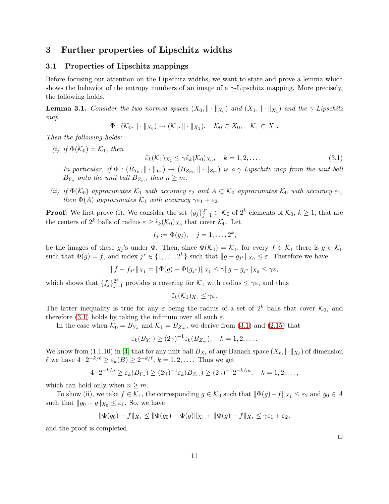# <span id="page-10-0"></span>3 Further properties of Lipschitz widths

### 3.1 Properties of Lipschitz mappings

Before focusing our attention on the Lipschitz widths, we want to state and prove a lemma which shows the behavior of the entropy numbers of an image of a  $\gamma$ -Lipschitz mapping. More precisely, the following holds.

**Lemma 3.1.** Consider the two normed spaces  $(X_0, \|\cdot\|_{X_0})$  and  $(X_1, \|\cdot\|_{X_1})$  and the  $\gamma$ -Lipschitz map

$$
\Phi : (\mathcal{K}_0, \|\cdot\|_{X_0}) \to (\mathcal{K}_1, \|\cdot\|_{X_1}), \quad \mathcal{K}_0 \subset X_0, \quad \mathcal{K}_1 \subset X_1.
$$

Then the following holds:

(i) if  $\Phi(\mathcal{K}_0) = \mathcal{K}_1$ , then

<span id="page-10-1"></span>
$$
\tilde{\varepsilon}_k(\mathcal{K}_1)_{X_1} \leq \gamma \tilde{\varepsilon}_k(\mathcal{K}_0)_{X_0}, \quad k = 1, 2, \dots
$$
\n(3.1)

In particular, if  $\Phi: (B_{Y_n}, \|\cdot\|_{Y_n}) \to (B_{Z_m}, \|\cdot\|_{Z_m})$  is a  $\gamma$ -Lipschitz map from the unit ball  $B_{Y_n}$  onto the unit ball  $B_{Z_m}$ , then  $n \geq m$ .

(ii) if  $\Phi(\mathcal{K}_0)$  approximates  $\mathcal{K}_1$  with accuracy  $\varepsilon_2$  and  $A \subset \mathcal{K}_0$  approximates  $\mathcal{K}_0$  with accuracy  $\varepsilon_1$ , then  $\Phi(A)$  approximates  $\mathcal{K}_1$  with accuracy  $\gamma \varepsilon_1 + \varepsilon_2$ .

**Proof:** We first prove (i). We consider the set  ${g_j}_{j=1}^{2^k} \subset \mathcal{K}_0$  of  $2^k$  elements of  $\mathcal{K}_0$ ,  $k \geq 1$ , that are the centers of  $2^k$  balls of radius  $\varepsilon \geq \tilde{\epsilon}_k(\mathcal{K}_0)_{X_0}$  that cover  $\mathcal{K}_0$ . Let

$$
f_j := \Phi(g_j), \quad j = 1, \ldots, 2^k,
$$

be the images of these  $g_j$ 's under  $\Phi$ . Then, since  $\Phi(\mathcal{K}_0) = \mathcal{K}_1$ , for every  $f \in \mathcal{K}_1$  there is  $g \in \mathcal{K}_0$ such that  $\Phi(g) = f$ , and index  $j^* \in \{1, ..., 2^k\}$  such that  $||g - g_{j*}||_{X_0} \leq \varepsilon$ . Therefore we have

$$
||f - f_{j^*}||_{X_1} = ||\Phi(g) - \Phi(g_{j^*})||_{X_1} \le \gamma ||g - g_{j^*}||_{X_0} \le \gamma \varepsilon,
$$

which shows that  $\{f_j\}_{j=1}^{2^k}$  provides a covering for  $\mathcal{K}_1$  with radius  $\leq \gamma \varepsilon$ , and thus

 $\tilde{\varepsilon}_k(\mathcal{K}_1)_{X_1} \leq \gamma \varepsilon.$ 

The latter inequality is true for any  $\varepsilon$  being the radius of a set of  $2^k$  balls that cover  $\mathcal{K}_0$ , and therefore [\(3.1\)](#page-10-1) holds by taking the infimum over all such  $\varepsilon$ .

In the case when  $\mathcal{K}_0 = B_{Y_n}$  and  $\mathcal{K}_1 = B_{Z_m}$ , we derive from [\(3.1\)](#page-10-1) and [\(2.15\)](#page-5-0) that

$$
\varepsilon_k(B_{Y_n}) \ge (2\gamma)^{-1} \varepsilon_k(B_{Z_m}), \quad k = 1, 2, \dots.
$$

We know from  $(1.1.10)$  in [\[4\]](#page-39-3) that for any unit ball  $B_{X_\ell}$  of any Banach space  $(X_\ell, \|\cdot\|_{X_\ell})$  of dimension  $\ell$  we have  $4 \cdot 2^{-k/\ell} \ge \varepsilon_k(B) \ge 2^{-k/\ell}, k = 1, 2, \dots$ . Thus we get

$$
4 \cdot 2^{-k/n} \geq \varepsilon_k(B_{Y_n}) \geq (2\gamma)^{-1} \varepsilon_k(B_{Z_m}) \geq (2\gamma)^{-1} 2^{-k/m}, \quad k = 1, 2, \dots,
$$

which can hold only when  $n \geq m$ .

To show (ii), we take  $f \in \mathcal{K}_1$ , the corresponding  $g \in \mathcal{K}_0$  such that  $\|\Phi(g)-f\|_{X_1} \leq \varepsilon_2$  and  $g_0 \in A$ such that  $||g_0 - g||_{X_0} \leq \varepsilon_1$ . So, we have

$$
\|\Phi(g_0) - f\|_{X_1} \le \|\Phi(g_0) - \Phi(g)\|_{X_1} + \|\Phi(g) - f\|_{X_1} \le \gamma \varepsilon_1 + \varepsilon_2,
$$

and the proof is completed.

 $\Box$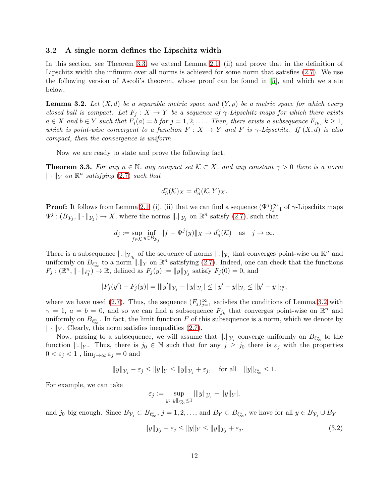#### 3.2 A single norm defines the Lipschitz width

In this section, see Theorem [3.3,](#page-11-0) we extend Lemma [2.1,](#page-2-5) (ii) and prove that in the definition of Lipschitz width the infimum over all norms is achieved for some norm that satisfies [\(2.7\)](#page-3-2). We use the following version of Ascoli's theorem, whose proof can be found in [\[5\]](#page-39-1), and which we state below.

<span id="page-11-1"></span>**Lemma 3.2.** Let  $(X,d)$  be a separable metric space and  $(Y,\rho)$  be a metric space for which every closed ball is compact. Let  $F_j : X \to Y$  be a sequence of  $\gamma$ -Lipschitz maps for which there exists  $a \in X$  and  $b \in Y$  such that  $F_j(a) = b$  for  $j = 1, 2, \ldots$ . Then, there exists a subsequence  $F_{j_k}, k \geq 1$ , which is point-wise convergent to a function  $F: X \to Y$  and F is  $\gamma$ -Lipschitz. If  $(X, d)$  is also compact, then the convergence is uniform.

Now we are ready to state and prove the following fact.

<span id="page-11-0"></span>**Theorem 3.3.** For any  $n \in \mathbb{N}$ , any compact set  $K \subset X$ , and any constant  $\gamma > 0$  there is a norm  $\|\cdot\|_Y$  on  $\mathbb{R}^n$  satisfying [\(2.7\)](#page-3-2) such that

$$
d_n^{\gamma}(\mathcal{K})_X = d_n^{\gamma}(\mathcal{K}, Y)_X.
$$

**Proof:** It follows from Lemma [2.1,](#page-2-5) (i), (ii) that we can find a sequence  $(\Psi^j)_{j=1}^{\infty}$  of  $\gamma$ -Lipschitz maps  $\Psi^j : (B_{\mathcal{Y}_j}, \|\cdot\|_{\mathcal{Y}_j}) \to X$ , where the norms  $\|\cdot\|_{\mathcal{Y}_j}$  on  $\mathbb{R}^n$  satisfy  $(2.7)$ , such that

$$
d_j := \sup_{f \in \mathcal{K}} \inf_{y \in B_{\mathcal{Y}_j}} ||f - \Psi^j(y)||_X \to d_n^{\gamma}(\mathcal{K}) \quad \text{as} \quad j \to \infty.
$$

There is a subsequence  $\|.\|_{\mathcal{Y}_{j_k}}$  of the sequence of norms  $\|.\|_{\mathcal{Y}_{j}}$  that converges point-wise on  $\mathbb{R}^n$  and uniformly on  $B_{\ell_{\infty}^{n}}$  to a norm  $\|\cdot\|_{Y}$  on  $\mathbb{R}^{n}$  satisfying [\(2.7\)](#page-3-2). Indeed, one can check that the functions  $F_j: (\mathbb{R}^n, \|\cdot\|_{\ell_1^n}) \to \mathbb{R}$ , defined as  $F_j(y) := \|y\|_{\mathcal{Y}_j}$  satisfy  $F_j(0) = 0$ , and

$$
|F_j(y') - F_j(y)| = ||y'||y_j - ||y||y_j|| \le ||y' - y||y_j|| \le ||y' - y||_{\ell_1^n},
$$

where we have used [\(2.7\)](#page-3-2). Thus, the sequence  $(F_j)_{j=1}^{\infty}$  satisfies the conditions of Lemma [3.2](#page-11-1) with  $\gamma = 1, a = b = 0$ , and so we can find a subsequence  $F_{j_k}$  that converges point-wise on  $\mathbb{R}^n$  and uniformly on  $B_{\ell_{\infty}^{n}}$ . In fact, the limit function F of this subsequence is a norm, which we denote by  $\|\cdot\|_Y$ . Clearly, this norm satisfies inequalities [\(2.7\)](#page-3-2).

Now, passing to a subsequence, we will assume that  $\|.\|_{\mathcal{Y}_j}$  converge uniformly on  $B_{\ell_{\infty}^n}$  to the function  $\|.\|_Y$ . Thus, there is  $j_0 \in \mathbb{N}$  such that for any  $j \geq j_0$  there is  $\varepsilon_j$  with the properties  $0 < \varepsilon_j < 1$ ,  $\lim_{j\to\infty} \varepsilon_j = 0$  and

$$
||y||_{\mathcal{Y}_j} - \varepsilon_j \le ||y||_Y \le ||y||_{\mathcal{Y}_j} + \varepsilon_j, \quad \text{for all} \quad ||y||_{\ell_\infty^n} \le 1.
$$

For example, we can take

$$
\varepsilon_j := \sup_{y: \|y\|_{\ell_\infty^n} \le 1} \|y\|_{\mathcal{Y}_j} - \|y\|_{Y},
$$

and  $j_0$  big enough. Since  $B_{\mathcal{Y}_j} \subset B_{\ell_{\infty}^n}$ ,  $j = 1, 2, ...,$  and  $B_Y \subset B_{\ell_{\infty}^n}$ , we have for all  $y \in B_{\mathcal{Y}_j} \cup B_Y$ 

<span id="page-11-2"></span>
$$
||y||_{\mathcal{Y}_j} - \varepsilon_j \le ||y||_Y \le ||y||_{\mathcal{Y}_j} + \varepsilon_j.
$$
\n(3.2)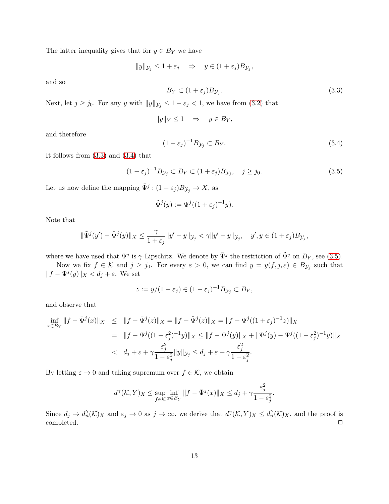The latter inequality gives that for  $y \in B_Y$  we have

 $||y||_{\mathcal{Y}_j} \leq 1 + \varepsilon_j \Rightarrow y \in (1 + \varepsilon_j)B_{\mathcal{Y}_j},$ 

and so

<span id="page-12-0"></span>
$$
B_Y \subset (1 + \varepsilon_j) B_{\mathcal{Y}_j}.\tag{3.3}
$$

Next, let  $j \ge j_0$ . For any y with  $||y||_{\mathcal{Y}_j} \le 1 - \varepsilon_j < 1$ , we have from [\(3.2\)](#page-11-2) that

$$
||y||_Y \le 1 \quad \Rightarrow \quad y \in B_Y,
$$

and therefore

<span id="page-12-1"></span>
$$
(1 - \varepsilon_j)^{-1} B_{\mathcal{Y}_j} \subset B_Y. \tag{3.4}
$$

It follows from [\(3.3\)](#page-12-0) and [\(3.4\)](#page-12-1) that

<span id="page-12-2"></span>
$$
(1 - \varepsilon_j)^{-1} B_{\mathcal{Y}_j} \subset B_Y \subset (1 + \varepsilon_j) B_{\mathcal{Y}_j}, \quad j \ge j_0. \tag{3.5}
$$

Let us now define the mapping  $\tilde{\Psi}^j$  :  $(1 + \varepsilon_j)B_{\mathcal{Y}_j} \to X$ , as

$$
\tilde{\Psi}^j(y) := \Psi^j((1+\varepsilon_j)^{-1}y).
$$

Note that

$$
\|\tilde{\Psi}^{j}(y')-\tilde{\Psi}^{j}(y)\|_{X}\leq \frac{\gamma}{1+\varepsilon_{j}}\|y'-y\|_{\mathcal{Y}_{j}}<\gamma\|y'-y\|_{\mathcal{Y}_{j}},\quad y',y\in(1+\varepsilon_{j})B_{\mathcal{Y}_{j}},
$$

where we have used that  $\Psi^j$  is  $\gamma$ -Lipschitz. We denote by  $\bar{\Psi}^j$  the restriction of  $\tilde{\Psi}^j$  on  $B_Y$ , see [\(3.5\)](#page-12-2).

Now we fix  $f \in \mathcal{K}$  and  $j \geq j_0$ . For every  $\varepsilon > 0$ , we can find  $y = y(f, j, \varepsilon) \in B_{\mathcal{Y}_j}$  such that  $||f - \Psi^j(y)||_X < d_j + \varepsilon$ . We set

$$
z := y/(1 - \varepsilon_j) \in (1 - \varepsilon_j)^{-1} B_{\mathcal{Y}_j} \subset B_Y,
$$

and observe that

$$
\inf_{x \in B_Y} \|f - \bar{\Psi}^j(x)\|_X \le \|f - \bar{\Psi}^j(z)\|_X = \|f - \tilde{\Psi}^j(z)\|_X = \|f - \Psi^j((1 + \varepsilon_j)^{-1}z)\|_X \n= \|f - \Psi^j((1 - \varepsilon_j^2)^{-1}y)\|_X \le \|f - \Psi^j(y)\|_X + \|\Psi^j(y) - \Psi^j((1 - \varepsilon_j^2)^{-1}y)\|_X \n< d_j + \varepsilon + \gamma \frac{\varepsilon_j^2}{1 - \varepsilon_j^2} \|y\|_{\mathcal{Y}_j} \le d_j + \varepsilon + \gamma \frac{\varepsilon_j^2}{1 - \varepsilon_j^2}.
$$

By letting  $\varepsilon \to 0$  and taking supremum over  $f \in \mathcal{K}$ , we obtain

$$
d^{\gamma}(\mathcal{K}, Y)_X \le \sup_{f \in \mathcal{K}} \inf_{x \in B_Y} \|f - \bar{\Psi}^j(x)\|_X \le d_j + \gamma \frac{\varepsilon_j^2}{1 - \varepsilon_j^2}.
$$

Since  $d_j \to d_n^{\gamma}(\mathcal{K})_X$  and  $\varepsilon_j \to 0$  as  $j \to \infty$ , we derive that  $d^{\gamma}(\mathcal{K}, Y)_X \leq d_n^{\gamma}(\mathcal{K})_X$ , and the proof is completed. □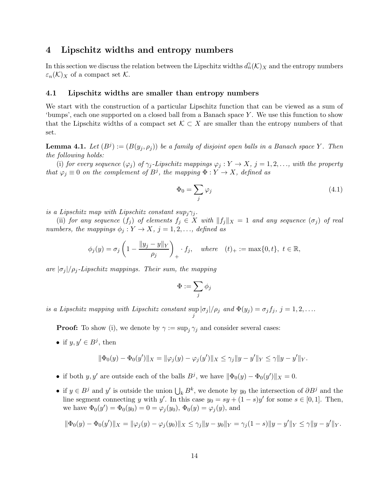## <span id="page-13-0"></span>4 Lipschitz widths and entropy numbers

In this section we discuss the relation between the Lipschitz widths  $d_n^{\gamma}(\mathcal{K})_X$  and the entropy numbers  $\varepsilon_n(\mathcal{K})_X$  of a compact set  $\mathcal{K}$ .

#### 4.1 Lipschitz widths are smaller than entropy numbers

We start with the construction of a particular Lipschitz function that can be viewed as a sum of 'bumps', each one supported on a closed ball from a Banach space  $Y$ . We use this function to show that the Lipschitz widths of a compact set  $\mathcal{K} \subset X$  are smaller than the entropy numbers of that set.

<span id="page-13-1"></span>**Lemma 4.1.** Let  $(B^j) := (B(y_j, \rho_j))$  be a family of disjoint open balls in a Banach space Y. Then the following holds:

(i) for every sequence  $(\varphi_j)$  of  $\gamma_j$ -Lipschitz mappings  $\varphi_j : Y \to X$ ,  $j = 1, 2, \ldots$ , with the property that  $\varphi_j \equiv 0$  on the complement of  $B^j$ , the mapping  $\Phi: Y \to X$ , defined as

$$
\Phi_0 = \sum_j \varphi_j \tag{4.1}
$$

is a Lipschitz map with Lipschitz constant  $sup_j \gamma_j$ .

(ii) for any sequence  $(f_j)$  of elements  $f_j \in X$  with  $||f_j||_X = 1$  and any sequence  $(\sigma_j)$  of real numbers, the mappings  $\phi_j : Y \to X$ ,  $j = 1, 2, \ldots$ , defined as

$$
\phi_j(y) = \sigma_j \left( 1 - \frac{\|y_j - y\|_Y}{\rho_j} \right)_+, f_j, \quad where \quad (t)_+ := \max\{0, t\}, \ t \in \mathbb{R},
$$

are  $|\sigma_j|/\rho_j$ -Lipschitz mappings. Their sum, the mapping

$$
\Phi:=\sum_j\phi_j
$$

is a Lipschitz mapping with Lipschitz constant sup  $\sup_j |\sigma_j|/\rho_j$  and  $\Phi(y_j) = \sigma_j f_j$ ,  $j = 1, 2, \ldots$ 

**Proof:** To show (i), we denote by  $\gamma := \sup_j \gamma_j$  and consider several cases:

• if  $y, y' \in B^j$ , then

$$
\|\Phi_0(y) - \Phi_0(y')\|_X = \|\varphi_j(y) - \varphi_j(y')\|_X \le \gamma_j \|y - y'\|_Y \le \gamma \|y - y'\|_Y.
$$

- if both  $y, y'$  are outside each of the balls  $B^j$ , we have  $\|\Phi_0(y) \Phi_0(y')\|_X = 0$ .
- if  $y \in B^j$  and y' is outside the union  $\bigcup_k B^k$ , we denote by y<sub>0</sub> the intersection of  $\partial B^j$  and the line segment connecting y with y'. In this case  $y_0 = sy + (1 - s)y'$  for some  $s \in [0, 1]$ . Then, we have  $\Phi_0(y') = \Phi_0(y_0) = 0 = \varphi_j(y_0), \Phi_0(y) = \varphi_j(y)$ , and

$$
\|\Phi_0(y)-\Phi_0(y')\|_X=\|\varphi_j(y)-\varphi_j(y_0)\|_X\leq \gamma_j\|y-y_0\|_Y=\gamma_j(1-s)\|y-y'\|_Y\leq \gamma\|y-y'\|_Y.
$$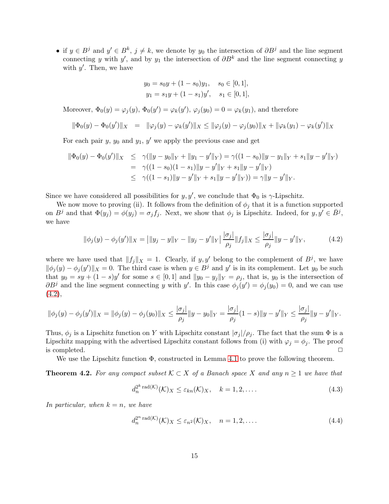• if  $y \in B^j$  and  $y' \in B^k$ ,  $j \neq k$ , we denote by  $y_0$  the intersection of  $\partial B^j$  and the line segment connecting y with y', and by  $y_1$  the intersection of  $\partial B^k$  and the line segment connecting y with  $y'$ . Then, we have

$$
y_0 = s_0y + (1 - s_0)y_1
$$
,  $s_0 \in [0, 1]$ ,  
\n $y_1 = s_1y + (1 - s_1)y'$ ,  $s_1 \in [0, 1]$ ,

Moreover,  $\Phi_0(y) = \varphi_j(y)$ ,  $\Phi_0(y') = \varphi_k(y')$ ,  $\varphi_j(y_0) = 0 = \varphi_k(y_1)$ , and therefore

$$
\|\Phi_0(y) - \Phi_0(y')\|_X = \|\varphi_j(y) - \varphi_k(y')\|_X \le \|\varphi_j(y) - \varphi_j(y_0)\|_X + \|\varphi_k(y_1) - \varphi_k(y')\|_X
$$

For each pair  $y, y_0$  and  $y_1, y'$  we apply the previous case and get

$$
\|\Phi_0(y) - \Phi_0(y')\|_X \leq \gamma(\|y - y_0\|_Y + \|y_1 - y'\|_Y) = \gamma((1 - s_0)\|y - y_1\|_Y + s_1\|y - y'\|_Y)
$$
  
=  $\gamma((1 - s_0)(1 - s_1)\|y - y'\|_Y + s_1\|y - y'\|_Y)$   
 $\leq \gamma((1 - s_1)\|y - y'\|_Y + s_1\|y - y'\|_Y)) = \gamma\|y - y'\|_Y.$ 

Since we have considered all possibilities for  $y, y'$ , we conclude that  $\Phi_0$  is  $\gamma$ -Lipschitz.

We now move to proving (ii). It follows from the definition of  $\phi_j$  that it is a function supported on  $B^j$  and that  $\Phi(y_j) = \phi(y_j) = \sigma_j f_j$ . Next, we show that  $\phi_j$  is Lipschitz. Indeed, for  $y, y' \in \overline{B}^j$ , we have

<span id="page-14-1"></span>
$$
\|\phi_j(y) - \phi_j(y')\|_X = \left|\|y_j - y\|_Y - \|y_j - y'\|_Y\right| \frac{|\sigma_j|}{\rho_j} \|f_j\|_X \le \frac{|\sigma_j|}{\rho_j} \|y - y'\|_Y,\tag{4.2}
$$

where we have used that  $||f_j||_X = 1$ . Clearly, if y, y' belong to the complement of  $B^j$ , we have  $\|\phi_j(y) - \phi_j(y')\|_X = 0$ . The third case is when  $y \in B^j$  and  $y'$  is in its complement. Let  $y_0$  be such that  $y_0 = sy + (1 - s)y'$  for some  $s \in [0, 1]$  and  $||y_0 - y_j||_Y = \rho_j$ , that is,  $y_0$  is the intersection of  $\partial B^j$  and the line segment connecting y with y'. In this case  $\phi_j(y') = \phi_j(y_0) = 0$ , and we can use  $(4.2),$  $(4.2),$ 

$$
\|\phi_j(y) - \phi_j(y')\|_X = \|\phi_j(y) - \phi_j(y_0)\|_X \le \frac{|\sigma_j|}{\rho_j} \|y - y_0\|_Y = \frac{|\sigma_j|}{\rho_j} (1 - s) \|y - y'\|_Y \le \frac{|\sigma_j|}{\rho_j} \|y - y'\|_Y.
$$

Thus,  $\phi_i$  is a Lipschitz function on Y with Lipschitz constant  $|\sigma_i|/\rho_i$ . The fact that the sum  $\Phi$  is a Lipschitz mapping with the advertised Lipschitz constant follows from (i) with  $\varphi_j = \varphi_j$ . The proof is completed.  $\Box$ 

We use the Lipschitz function  $\Phi$ , constructed in Lemma [4.1](#page-13-1) to prove the following theorem.

<span id="page-14-0"></span>**Theorem 4.2.** For any compact subset  $K \subset X$  of a Banach space X and any  $n \geq 1$  we have that

<span id="page-14-2"></span>
$$
d_n^{2^k \operatorname{rad}(\mathcal{K})}(\mathcal{K})_X \leq \varepsilon_{kn}(\mathcal{K})_X, \quad k = 1, 2, \dots
$$
\n
$$
(4.3)
$$

In particular, when  $k = n$ , we have

<span id="page-14-3"></span>
$$
d_n^{2^n \operatorname{rad}(\mathcal{K})}(\mathcal{K})_X \le \varepsilon_{n^2}(\mathcal{K})_X, \quad n = 1, 2, \dots \tag{4.4}
$$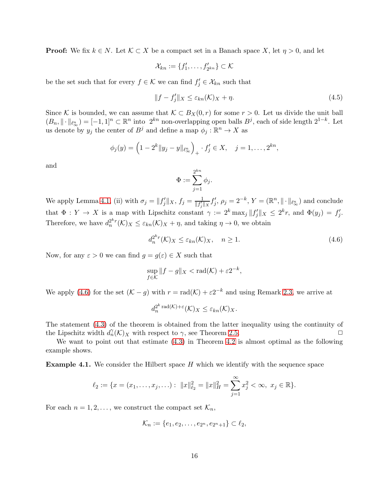**Proof:** We fix  $k \in N$ . Let  $K \subset X$  be a compact set in a Banach space X, let  $\eta > 0$ , and let

$$
\mathcal{X}_{kn} := \{f'_1, \ldots, f'_{2^{kn}}\} \subset \mathcal{K}
$$

be the set such that for every  $f \in \mathcal{K}$  we can find  $f'_j \in \mathcal{X}_{kn}$  such that

$$
||f - f'_j||_X \le \varepsilon_{kn}(\mathcal{K})_X + \eta. \tag{4.5}
$$

Since K is bounded, we can assume that  $K \subset B_X(0,r)$  for some  $r > 0$ . Let us divide the unit ball  $(B_n, \|\cdot\|_{\ell_\infty^n}) = [-1, 1]^n \subset \mathbb{R}^n$  into  $2^{kn}$  non-overlapping open balls  $B^j$ , each of side length  $2^{1-k}$ . Let us denote by  $y_j$  the center of  $B^j$  and define a map  $\phi_j : \mathbb{R}^n \to X$  as

$$
\phi_j(y) = \left(1 - 2^k \|y_j - y\|_{\ell_\infty^n}\right)_+, f'_j \in X, \quad j = 1, \dots, 2^{kn},
$$

and

$$
\Phi := \sum_{j=1}^{2^{kn}} \phi_j.
$$

We apply Lemma [4.1,](#page-13-1) (ii) with  $\sigma_j = ||f'_j||_X$ ,  $f_j = \frac{1}{||f'_j||_X}$  $\frac{1}{\|f'_j\|_X} f'_j$ ,  $\rho_j = 2^{-k}$ ,  $Y = (\mathbb{R}^n, \|\cdot\|_{\ell_{\infty}^n})$  and conclude that  $\Phi: Y \to X$  is a map with Lipschitz constant  $\gamma := 2^k \max_j ||f'_j||_X \leq 2^k r$ , and  $\Phi(y_j) = f'_j$ . Therefore, we have  $d_n^{2^k r}(\mathcal{K})_X \leq \varepsilon_{kn}(\mathcal{K})_X + \eta$ , and taking  $\eta \to 0$ , we obtain

<span id="page-15-0"></span>
$$
d_n^{2^k r}(\mathcal{K})_X \le \varepsilon_{kn}(\mathcal{K})_X, \quad n \ge 1. \tag{4.6}
$$

Now, for any  $\varepsilon > 0$  we can find  $g = g(\varepsilon) \in X$  such that

$$
\sup_{f \in \mathcal{K}} \|f - g\|_X < \text{rad}(\mathcal{K}) + \varepsilon 2^{-k},
$$

We apply [\(4.6\)](#page-15-0) for the set  $(K - g)$  with  $r = rad(K) + \varepsilon 2^{-k}$  and using Remark [2.3,](#page-6-4) we arrive at

$$
d_n^{2^k \operatorname{rad}(\mathcal{K}) + \varepsilon}(\mathcal{K})_X \leq \varepsilon_{kn}(\mathcal{K})_X.
$$

The statement [\(4.3\)](#page-14-2) of the theorem is obtained from the latter inequality using the continuity of the Lipschitz width  $d_n^{\gamma}(\mathcal{K})_X$  with respect to  $\gamma$ , see Theorem [2.5.](#page-6-0)

We want to point out that estimate [\(4.3\)](#page-14-2) in Theorem [4.2](#page-14-0) is almost optimal as the following example shows.

**Example 4.1.** We consider the Hilbert space H which we identify with the sequence space

$$
\ell_2 := \{ x = (x_1, \dots, x_j, \dots) : ||x||_{\ell_2}^2 = ||x||_H^2 = \sum_{j=1}^{\infty} x_j^2 < \infty, \ x_j \in \mathbb{R} \}.
$$

For each  $n = 1, 2, \ldots$ , we construct the compact set  $\mathcal{K}_n$ ,

$$
\mathcal{K}_n := \{e_1, e_2, \dots, e_{2^n}, e_{2^n+1}\} \subset \ell_2,
$$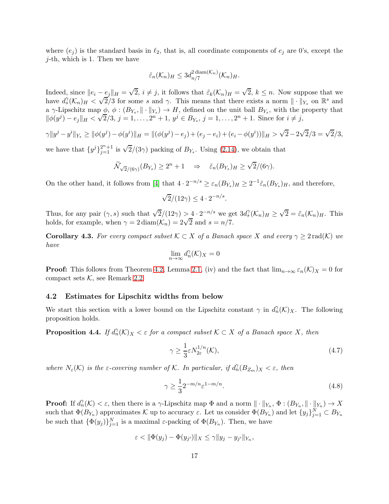where  $(e_j)$  is the standard basis in  $\ell_2$ , that is, all coordinate components of  $e_j$  are 0's, except the  $j$ -th, which is 1. Then we have

$$
\tilde{\varepsilon}_n(\mathcal{K}_n)_H \leq 3d_{n/7}^{2 \operatorname{diam}(\mathcal{K}_n)}(\mathcal{K}_n)_H.
$$

Indeed, since  $||e_i - e_j||_H = \sqrt{2}$ ,  $i \neq j$ , it follows that  $\tilde{\varepsilon}_k(\mathcal{K}_n)_H = \sqrt{2}$ ,  $k \leq n$ . Now suppose that we have  $d_s^{\gamma}(\mathcal{K}_n)_H < \sqrt{2}/3$  for some s and  $\gamma$ . This means that there exists a norm  $\|\cdot\|_{Y_s}$  on  $\mathbb{R}^s$  and a  $\gamma$ -Lipschitz map  $\phi$ ,  $\phi$ :  $(B_{Y_s}, \|\cdot\|_{Y_s}) \to H$ , defined on the unit ball  $B_{Y_s}$ , with the property that  $\|\phi(y^j) - e_j\|_H < \sqrt{2}/3, j = 1, ..., 2^n + 1, y^j \in B_{Y_s}, j = 1, ..., 2^n + 1$ . Since for  $i \neq j$ ,

$$
\gamma \|y^{j} - y^{i}\|_{Y_{s}} \ge \|\phi(y^{j}) - \phi(y^{i})\|_{H} = \|(\phi(y^{j}) - e_{j}) + (e_{j} - e_{i}) + (e_{i} - \phi(y^{i}))\|_{H} > \sqrt{2} - 2\sqrt{2}/3 = \sqrt{2}/3,
$$

we have that  $\{y^j\}_{j=1}^{2^n+1}$  is  $\sqrt{2}/(3\gamma)$  packing of  $B_{Y_s}$ . Using [\(2.14\)](#page-5-1), we obtain that

$$
\widetilde{\mathcal{N}}_{\sqrt{2}/(6\gamma)}(B_{Y_s}) \ge 2^n + 1 \quad \Rightarrow \quad \widetilde{\varepsilon}_n(B_{Y_s})_H \ge \sqrt{2}/(6\gamma).
$$

On the other hand, it follows from [\[4\]](#page-39-3) that  $4 \cdot 2^{-n/s} \geq \varepsilon_n(B_{Y_s})_H \geq 2^{-1} \tilde{\varepsilon}_n(B_{Y_s})_H$ , and therefore,

$$
\sqrt{2}/(12\gamma) \le 4 \cdot 2^{-n/s}
$$

.

Thus, for any pair  $(\gamma, s)$  such that  $\sqrt{2}/(12\gamma) > 4 \cdot 2^{-n/s}$  we get  $3d_s^{\gamma}(\mathcal{K}_n)_H \geq \sqrt{2} = \tilde{\varepsilon}_n(\mathcal{K}_n)_H$ . This holds, for example, when  $\gamma = 2 \text{diam}(K_n) = 2\sqrt{2}$  and  $s = n/7$ .

<span id="page-16-0"></span>**Corollary 4.3.** For every compact subset  $K \subset X$  of a Banach space X and every  $\gamma \geq 2 \text{ rad}(K)$  we have

$$
\lim_{n \to \infty} d_n^{\gamma}(\mathcal{K})_X = 0
$$

**Proof:** This follows from Theorem [4.2,](#page-14-0) Lemma [2.1,](#page-2-5) (iv) and the fact that  $\lim_{n\to\infty} \varepsilon_n(\mathcal{K})_X = 0$  for compact sets  $K$ , see Remark [2.2.](#page-5-2)

#### 4.2 Estimates for Lipschitz widths from below

We start this section with a lower bound on the Lipschitz constant  $\gamma$  in  $d_n(\mathcal{K})_X$ . The following proposition holds.

<span id="page-16-3"></span>**Proposition 4.4.** If  $d_n^{\gamma}(\mathcal{K})_X < \varepsilon$  for a compact subset  $\mathcal{K} \subset X$  of a Banach space X, then

<span id="page-16-1"></span>
$$
\gamma \ge \frac{1}{3} \varepsilon N_{2\varepsilon}^{1/n}(\mathcal{K}),\tag{4.7}
$$

where  $N_{\varepsilon}(\mathcal{K})$  is the  $\varepsilon$ -covering number of  $\mathcal{K}$ . In particular, if  $d_n(\overline{B_{Z_m}})_X < \varepsilon$ , then

<span id="page-16-2"></span>
$$
\gamma \ge \frac{1}{3} 2^{-m/n} \varepsilon^{1-m/n}.
$$
\n(4.8)

**Proof:** If  $d_n^{\gamma}(\mathcal{K}) < \varepsilon$ , then there is a  $\gamma$ -Lipschitz map  $\Phi$  and a norm  $\|\cdot\|_{Y_n}$ ,  $\Phi: (B_{Y_n}, \|\cdot\|_{Y_n}) \to X$ such that  $\Phi(B_{Y_n})$  approximates K up to accuracy  $\varepsilon$ . Let us consider  $\Phi(B_{Y_n})$  and let  $\{y_j\}_{j=1}^N \subset B_{Y_n}$ be such that  $\{\Phi(y_j)\}_{j=1}^N$  is a maximal  $\varepsilon$ -packing of  $\Phi(B_{Y_n})$ . Then, we have

$$
\varepsilon < \|\Phi(y_j) - \Phi(y_{j'})\|_X \leq \gamma \|y_j - y_{j'}\|_{Y_n},
$$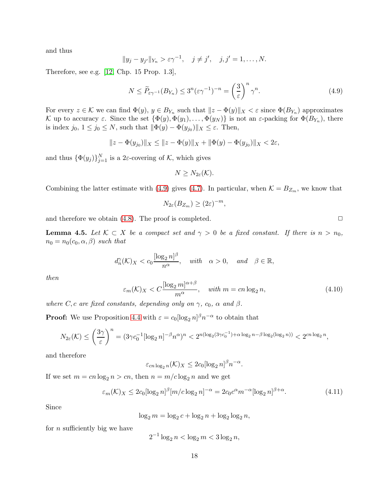and thus

$$
||y_j - y_{j'}||_{Y_n} > \varepsilon \gamma^{-1}, \quad j \neq j', \quad j, j' = 1, \ldots, N.
$$

Therefore, see e.g. [\[12,](#page-39-6) Chp. 15 Prop. 1.3],

<span id="page-17-0"></span>
$$
N \le \widetilde{P}_{\varepsilon\gamma^{-1}}(B_{Y_n}) \le 3^n (\varepsilon\gamma^{-1})^{-n} = \left(\frac{3}{\varepsilon}\right)^n \gamma^n. \tag{4.9}
$$

For every  $z \in \mathcal{K}$  we can find  $\Phi(y)$ ,  $y \in B_{Y_n}$  such that  $||z - \Phi(y)||_X < \varepsilon$  since  $\Phi(B_{Y_n})$  approximates K up to accuracy  $\varepsilon$ . Since the set  $\{\Phi(y), \Phi(y_1), \ldots, \Phi(y_N)\}\$ is not an  $\varepsilon$ -packing for  $\Phi(B_{Y_n})$ , there is index  $j_0, 1 \le j_0 \le N$ , such that  $\|\Phi(y) - \Phi(y_{j_0})\|_X \le \varepsilon$ . Then,

$$
||z - \Phi(y_{j_0})||_X \le ||z - \Phi(y)||_X + ||\Phi(y) - \Phi(y_{j_0})||_X < 2\varepsilon,
$$

and thus  $\{\Phi(y_j)\}_{j=1}^N$  is a 2 $\varepsilon$ -covering of  $K$ , which gives

$$
N\geq N_{2\varepsilon}(\mathcal{K}).
$$

Combining the latter estimate with [\(4.9\)](#page-17-0) gives [\(4.7\)](#page-16-1). In particular, when  $\mathcal{K} = B_{Z_m}$ , we know that

$$
N_{2\varepsilon}(B_{Z_m}) \ge (2\varepsilon)^{-m},
$$

and therefore we obtain  $(4.8)$ . The proof is completed.  $\Box$ 

<span id="page-17-2"></span>**Lemma 4.5.** Let  $K \subset X$  be a compact set and  $\gamma > 0$  be a fixed constant. If there is  $n > n_0$ ,  $n_0 = n_0(c_0, \alpha, \beta)$  such that

$$
d_n^{\gamma}(\mathcal{K})_X < c_0 \frac{[\log_2 n]^{\beta}}{n^{\alpha}}, \text{ with } \alpha > 0, \text{ and } \beta \in \mathbb{R},
$$

then

$$
\varepsilon_m(\mathcal{K})_X < C \frac{[\log_2 m]^{\alpha + \beta}}{m^{\alpha}}, \quad \text{with } m = c n \log_2 n,\tag{4.10}
$$

where C, c are fixed constants, depending only on  $\gamma$ ,  $c_0$ ,  $\alpha$  and  $\beta$ .

**Proof:** We use Proposition [4.4](#page-16-3) with  $\varepsilon = c_0 [\log_2 n]^{\beta} n^{-\alpha}$  to obtain that

$$
N_{2\varepsilon}(\mathcal{K}) \le \left(\frac{3\gamma}{\varepsilon}\right)^n = (3\gamma c_0^{-1} [\log_2 n]^{-\beta} n^{\alpha})^n < 2^{n(\log_2(3\gamma c_0^{-1}) + \alpha \log_2 n - \beta \log_2(\log_2 n))} < 2^{cn\log_2 n},
$$

and therefore

$$
\varepsilon_{cn\log_2 n}(\mathcal{K})_X \le 2c_0[\log_2 n]^{\beta} n^{-\alpha}.
$$

If we set  $m = cn \log_2 n > cn$ , then  $n = m/c \log_2 n$  and we get

<span id="page-17-1"></span>
$$
\varepsilon_m(\mathcal{K})_X \le 2c_0[\log_2 n]^\beta [m/c \log_2 n]^{-\alpha} = 2c_0 c^\alpha m^{-\alpha} [\log_2 n]^{\beta + \alpha}.
$$
\n(4.11)

Since

 $\log_2 m = \log_2 c + \log_2 n + \log_2 \log_2 n,$ 

for  $n$  sufficiently big we have

$$
2^{-1}\log_2 n < \log_2 m < 3\log_2 n,
$$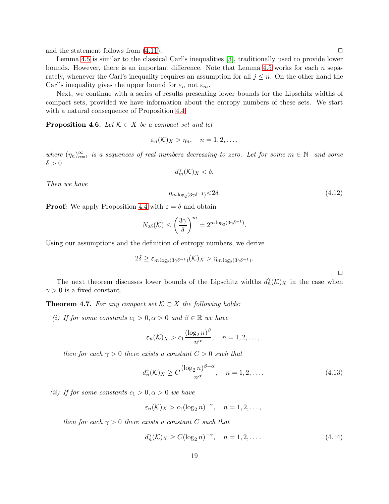and the statement follows from  $(4.11)$ .

Lemma [4.5](#page-17-2) is similar to the classical Carl's inequalities [\[3\]](#page-39-7), traditionally used to provide lower bounds. However, there is an important difference. Note that Lemma [4.5](#page-17-2) works for each  $n$  separately, whenever the Carl's inequality requires an assumption for all  $j \leq n$ . On the other hand the Carl's inequality gives the upper bound for  $\varepsilon_n$  not  $\varepsilon_m$ .

Next, we continue with a series of results presenting lower bounds for the Lipschitz widths of compact sets, provided we have information about the entropy numbers of these sets. We start with a natural consequence of Proposition [4.4.](#page-16-3)

<span id="page-18-1"></span>**Proposition 4.6.** Let  $K \subset X$  be a compact set and let

$$
\varepsilon_n(\mathcal{K})_X > \eta_n, \quad n = 1, 2, \dots,
$$

where  $(\eta_n)_{n=1}^{\infty}$  is a sequences of real numbers decreasing to zero. Let for some  $m \in \mathbb{N}$  and some  $\delta > 0$ 

$$
d_m^{\gamma}(\mathcal{K})_X < \delta.
$$

Then we have

$$
\eta_{m \log_2(3\gamma\delta^{-1})} < 2\delta. \tag{4.12}
$$

**Proof:** We apply Proposition [4.4](#page-16-3) with  $\varepsilon = \delta$  and obtain

$$
N_{2\delta}(\mathcal{K}) \le \left(\frac{3\gamma}{\delta}\right)^m = 2^{m \log_2(3\gamma \delta^{-1})}.
$$

Using our assumptions and the definition of entropy numbers, we derive

$$
2\delta \geq \varepsilon_{m \log_2(3\gamma \delta^{-1})}(\mathcal{K})_X > \eta_{m \log_2(3\gamma \delta^{-1})}.
$$

 $\Box$ 

The next theorem discusses lower bounds of the Lipschitz widths  $d_n^{\gamma}(\mathcal{K})_X$  in the case when  $\gamma > 0$  is a fixed constant.

<span id="page-18-2"></span>**Theorem 4.7.** For any compact set  $K \subset X$  the following holds:

(i) If for some constants  $c_1 > 0, \alpha > 0$  and  $\beta \in \mathbb{R}$  we have

$$
\varepsilon_n(\mathcal{K})_X > c_1 \frac{(\log_2 n)^{\beta}}{n^{\alpha}}, \quad n = 1, 2, \dots,
$$

then for each  $\gamma > 0$  there exists a constant  $C > 0$  such that

<span id="page-18-0"></span>
$$
d_n^{\gamma}(\mathcal{K})_X \ge C \frac{(\log_2 n)^{\beta - \alpha}}{n^{\alpha}}, \quad n = 1, 2, \dots
$$
 (4.13)

(ii) If for some constants  $c_1 > 0, \alpha > 0$  we have

$$
\varepsilon_n(\mathcal{K})_X > c_1(\log_2 n)^{-\alpha}, \quad n = 1, 2, \ldots,
$$

then for each  $\gamma > 0$  there exists a constant C such that

$$
d_n^{\gamma}(\mathcal{K})_X \ge C(\log_2 n)^{-\alpha}, \quad n = 1, 2, \dots
$$
\n
$$
(4.14)
$$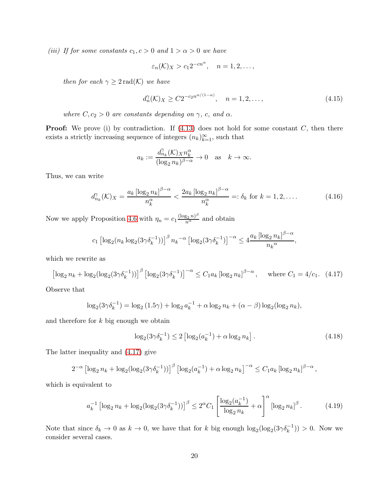(iii) If for some constants  $c_1, c > 0$  and  $1 > \alpha > 0$  we have

$$
\varepsilon_n(\mathcal{K})_X > c_1 2^{-cn^{\alpha}}, \quad n = 1, 2, \dots,
$$

then for each  $\gamma \geq 2 \text{ rad}(\mathcal{K})$  we have

$$
d_n^{\gamma}(\mathcal{K})_X \ge C2^{-c_2 n^{\alpha/(1-\alpha)}}, \quad n = 1, 2, \dots,
$$
\n(4.15)

where  $C, c_2 > 0$  are constants depending on  $\gamma$ , c, and  $\alpha$ .

**Proof:** We prove (i) by contradiction. If  $(4.13)$  does not hold for some constant  $C$ , then there exists a strictly increasing sequence of integers  $(n_k)_{k=1}^{\infty}$ , such that

$$
a_k := \frac{d_{n_k}^{\gamma}(\mathcal{K})_X n_k^{\alpha}}{(\log_2 n_k)^{\beta - \alpha}} \to 0 \quad \text{as} \quad k \to \infty.
$$

Thus, we can write

$$
d_{n_k}^{\gamma}(\mathcal{K})_X = \frac{a_k \left[ \log_2 n_k \right]^{\beta - \alpha}}{n_k^{\alpha}} < \frac{2a_k \left[ \log_2 n_k \right]^{\beta - \alpha}}{n_k^{\alpha}} =: \delta_k \text{ for } k = 1, 2, \dots \tag{4.16}
$$

Now we apply Proposition [4.6](#page-18-1) with  $\eta_n = c_1 \frac{(\log_2 n)^{\beta}}{n^{\alpha}}$  and obtain

$$
c_1 \left[ \log_2(n_k \log_2(3\gamma \delta_k^{-1})) \right]^{\beta} n_k^{-\alpha} \left[ \log_2(3\gamma \delta_k^{-1}) \right]^{-\alpha} \le 4 \frac{a_k \left[ \log_2 n_k \right]^{\beta - \alpha}}{n_k^{\alpha}},
$$

which we rewrite as

<span id="page-19-0"></span>
$$
\left[\log_2 n_k + \log_2(\log_2(3\gamma\delta_k^{-1}))\right]^\beta \left[\log_2(3\gamma\delta_k^{-1})\right]^{-\alpha} \le C_1 a_k \left[\log_2 n_k\right]^{\beta-\alpha}, \quad \text{where } C_1 = 4/c_1. \tag{4.17}
$$

Observe that

$$
\log_2(3\gamma \delta_k^{-1}) = \log_2(1.5\gamma) + \log_2 a_k^{-1} + \alpha \log_2 n_k + (\alpha - \beta) \log_2(\log_2 n_k),
$$

and therefore for  $k$  big enough we obtain

<span id="page-19-2"></span>
$$
\log_2(3\gamma \delta_k^{-1}) \le 2 \left[ \log_2(a_k^{-1}) + \alpha \log_2 n_k \right]. \tag{4.18}
$$

The latter inequality and [\(4.17\)](#page-19-0) give

$$
2^{-\alpha} \left[ \log_2 n_k + \log_2 (\log_2 (3\gamma \delta_k^{-1})) \right]^{\beta} \left[ \log_2 (a_k^{-1}) + \alpha \log_2 n_k \right]^{-\alpha} \le C_1 a_k \left[ \log_2 n_k \right]^{\beta - \alpha},
$$

which is equivalent to

<span id="page-19-1"></span>
$$
a_k^{-1} \left[ \log_2 n_k + \log_2 (\log_2 (3\gamma \delta_k^{-1})) \right]^\beta \le 2^\alpha C_1 \left[ \frac{\log_2 (a_k^{-1})}{\log_2 n_k} + \alpha \right]^\alpha \left[ \log_2 n_k \right]^\beta. \tag{4.19}
$$

Note that since  $\delta_k \to 0$  as  $k \to 0$ , we have that for k big enough  $\log_2(\log_2(3\gamma\delta_k^{-1})) > 0$ . Now we consider several cases.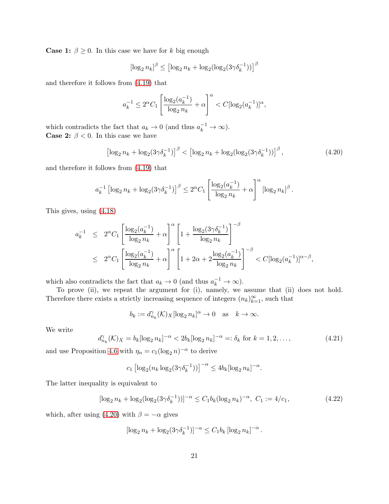**Case 1:**  $\beta \geq 0$ . In this case we have for k big enough

$$
\left[\log_2 n_k\right]^\beta \le \left[\log_2 n_k + \log_2(\log_2(3\gamma\delta_k^{-1}))\right]^\beta
$$

and therefore it follows from [\(4.19\)](#page-19-1) that

$$
a_k^{-1} \le 2^{\alpha} C_1 \left[ \frac{\log_2(a_k^{-1})}{\log_2 n_k} + \alpha \right]^{\alpha} < C[\log_2(a_k^{-1})]^{\alpha},
$$

which contradicts the fact that  $a_k \to 0$  (and thus  $a_k^{-1} \to \infty$ ). **Case 2:**  $\beta$  < 0. In this case we have

<span id="page-20-0"></span>
$$
\left[\log_2 n_k + \log_2(3\gamma \delta_k^{-1})\right]^\beta < \left[\log_2 n_k + \log_2(\log_2(3\gamma \delta_k^{-1}))\right]^\beta,\tag{4.20}
$$

and therefore it follows from [\(4.19\)](#page-19-1) that

$$
a_k^{-1} \left[ \log_2 n_k + \log_2(3\gamma \delta_k^{-1}) \right]^{\beta} \leq 2^{\alpha} C_1 \left[ \frac{\log_2(a_k^{-1})}{\log_2 n_k} + \alpha \right]^{\alpha} \left[ \log_2 n_k \right]^{\beta}.
$$

This gives, using [\(4.18\)](#page-19-2)

$$
a_k^{-1} \le 2^{\alpha} C_1 \left[ \frac{\log_2(a_k^{-1})}{\log_2 n_k} + \alpha \right]^{\alpha} \left[ 1 + \frac{\log_2(3\gamma \delta_k^{-1})}{\log_2 n_k} \right]^{-\beta}
$$
  

$$
\le 2^{\alpha} C_1 \left[ \frac{\log_2(a_k^{-1})}{\log_2 n_k} + \alpha \right]^{\alpha} \left[ 1 + 2\alpha + 2 \frac{\log_2(a_k^{-1})}{\log_2 n_k} \right]^{-\beta} < C[\log_2(a_k^{-1})]^{\alpha - \beta},
$$

which also contradicts the fact that  $a_k \to 0$  (and thus  $a_k^{-1} \to \infty$ ).

To prove (ii), we repeat the argument for (i), namely, we assume that (ii) does not hold. Therefore there exists a strictly increasing sequence of integers  $(n_k)_{k=1}^{\infty}$ , such that

$$
b_k := d_{n_k}^{\gamma}(\mathcal{K})_X[\log_2 n_k]^{\alpha} \to 0 \quad \text{as} \quad k \to \infty.
$$

We write

$$
d_{n_k}^{\gamma}(\mathcal{K})_X = b_k[\log_2 n_k]^{-\alpha} < 2b_k[\log_2 n_k]^{-\alpha} =: \delta_k \text{ for } k = 1, 2, \dots,\tag{4.21}
$$

and use Proposition [4.6](#page-18-1) with  $\eta_n = c_1(\log_2 n)^{-\alpha}$  to derive

$$
c_1 \left[ \log_2(n_k \log_2(3\gamma \delta_k^{-1})) \right]^{-\alpha} \le 4b_k \log_2 n_k \Big]^{-\alpha}.
$$

The latter inequality is equivalent to

$$
[\log_2 n_k + \log_2 (\log_2 (3\gamma \delta_k^{-1}))]^{-\alpha} \le C_1 b_k (\log_2 n_k)^{-\alpha}, \ C_1 := 4/c_1,
$$
\n(4.22)

which, after using [\(4.20\)](#page-20-0) with  $\beta = -\alpha$  gives

$$
[\log_2 n_k + \log_2(3\gamma\delta_k^{-1})]^{-\alpha} \le C_1 b_k \left[\log_2 n_k\right]^{-\alpha}.
$$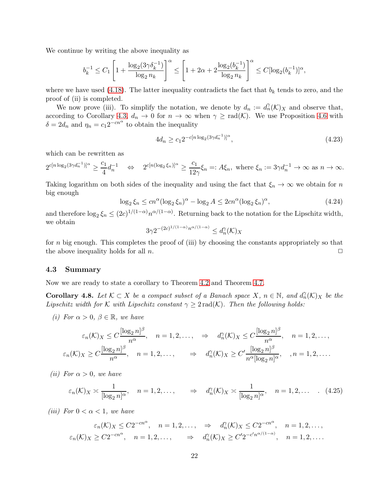We continue by writing the above inequality as

$$
b_k^{-1} \le C_1 \left[ 1 + \frac{\log_2(3\gamma \delta_k^{-1})}{\log_2 n_k} \right]^\alpha \le \left[ 1 + 2\alpha + 2 \frac{\log_2(b_k^{-1})}{\log_2 n_k} \right]^\alpha \le C[\log_2(b_k^{-1})]^\alpha,
$$

where we have used [\(4.18\)](#page-19-2). The latter inequality contradicts the fact that  $b_k$  tends to zero, and the proof of (ii) is completed.

We now prove (iii). To simplify the notation, we denote by  $d_n := d_n(\mathcal{K})_X$  and observe that, according to Corollary [4.3,](#page-16-0)  $d_n \to 0$  for  $n \to \infty$  when  $\gamma \geq \text{rad}(\mathcal{K})$ . We use Proposition [4.6](#page-18-1) with  $\delta = 2d_n$  and  $\eta_n = c_1 2^{-cn^{\alpha}}$  to obtain the inequality

$$
4d_n \ge c_1 2^{-c[n \log_2(3\gamma d_n^{-1})]^{\alpha}},\tag{4.23}
$$

which can be rewritten as

 $2^{c[n\log_2(3\gamma d_n^{-1})]^{\alpha}} \geq$  $c_1$  $\frac{c_1}{4}d_n^{-1} \quad \Leftrightarrow \quad 2^{c[n(\log_2 \xi_n)]^{\alpha}} \geq$  $c_1$  $\frac{c_1}{12\gamma}\xi_n =: A\xi_n$ , where  $\xi_n := 3\gamma d_n^{-1} \to \infty$  as  $n \to \infty$ .

Taking logarithm on both sides of the inequality and using the fact that  $\xi_n \to \infty$  we obtain for n big enough

$$
\log_2 \xi_n \le cn^{\alpha} (\log_2 \xi_n)^{\alpha} - \log_2 A \le 2cn^{\alpha} (\log_2 \xi_n)^{\alpha},\tag{4.24}
$$

and therefore  $\log_2 \xi_n \leq (2c)^{1/(1-\alpha)} n^{\alpha/(1-\alpha)}$ . Returning back to the notation for the Lipschitz width, we obtain

$$
3\gamma 2^{-(2c)^{1/(1-\alpha)}n^{\alpha/(1-\alpha)}} \leq d_n^{\gamma}(\mathcal{K})_X
$$

for  $n$  big enough. This completes the proof of (iii) by choosing the constants appropriately so that the above inequality holds for all  $n$ .  $\Box$ 

#### 4.3 Summary

Now we are ready to state a corollary to Theorem [4.2](#page-14-0) and Theorem [4.7.](#page-18-2)

<span id="page-21-0"></span>**Corollary 4.8.** Let  $K \subset X$  be a compact subset of a Banach space X,  $n \in \mathbb{N}$ , and  $d_n^{\gamma}(K)_X$  be the Lipschitz width for K with Lipschitz constant  $\gamma \geq 2 \text{rad}(\mathcal{K})$ . Then the following holds:

(i) For  $\alpha > 0$ ,  $\beta \in \mathbb{R}$ , we have

$$
\varepsilon_n(\mathcal{K})_X \le C \frac{[\log_2 n]^\beta}{n^\alpha}, \quad n = 1, 2, \dots, \quad \Rightarrow \quad d_n^{\gamma}(\mathcal{K})_X \le C \frac{[\log_2 n]^\beta}{n^\alpha}, \quad n = 1, 2, \dots, \n\varepsilon_n(\mathcal{K})_X \ge C \frac{[\log_2 n]^\beta}{n^\alpha}, \quad n = 1, 2, \dots, \quad \Rightarrow \quad d_n^{\gamma}(\mathcal{K})_X \ge C' \frac{[\log_2 n]^\beta}{n^\alpha [\log_2 n]^\alpha}, \quad n = 1, 2, \dots.
$$

(*ii*) For  $\alpha > 0$ , we have

$$
\varepsilon_n(\mathcal{K})_X \asymp \frac{1}{[\log_2 n]^\alpha}, \quad n = 1, 2, \dots, \qquad \Rightarrow \quad d_n^{\gamma}(\mathcal{K})_X \asymp \frac{1}{[\log_2 n]^\alpha}, \quad n = 1, 2, \dots \quad . \quad (4.25)
$$

(*iii*) For  $0 < \alpha < 1$ , we have

$$
\varepsilon_n(\mathcal{K})_X \le C2^{-cn^{\alpha}}, \quad n = 1, 2, \dots, \quad \Rightarrow \quad d_n^{\gamma}(\mathcal{K})_X \le C2^{-cn^{\alpha}}, \quad n = 1, 2, \dots, \newline \varepsilon_n(\mathcal{K})_X \ge C2^{-cn^{\alpha}}, \quad n = 1, 2, \dots, \quad \Rightarrow \quad d_n^{\gamma}(\mathcal{K})_X \ge C^{\prime}2^{-c^{\prime}n^{\alpha/(1-\alpha)}}, \quad n = 1, 2, \dots.
$$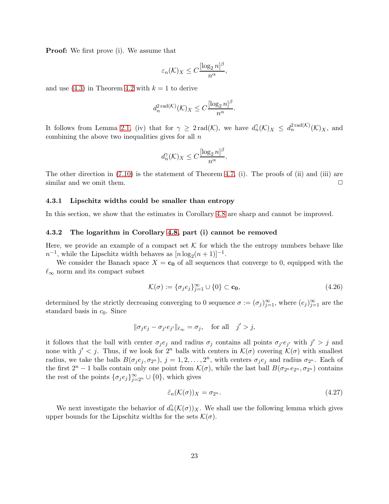Proof: We first prove (i). We assume that

$$
\varepsilon_n(\mathcal{K})_X \le C \frac{[\log_2 n]^\beta}{n^\alpha},
$$

and use [\(4.3\)](#page-14-2) in Theorem [4.2](#page-14-0) with  $k = 1$  to derive

$$
d_n^{2\operatorname{rad}(\mathcal{K})}(\mathcal{K})_X \le C \frac{[\log_2 n]^{\beta}}{n^{\alpha}}.
$$

It follows from Lemma [2.1,](#page-2-5) (iv) that for  $\gamma \geq 2 \text{rad}(\mathcal{K})$ , we have  $d_n^{\gamma}(\mathcal{K})_X \leq d_n^{2 \text{rad}(\mathcal{K})}(\mathcal{K})_X$ , and combining the above two inequalities gives for all  $n$ 

$$
d_n^{\gamma}(\mathcal{K})_X \le C \frac{[\log_2 n]^{\beta}}{n^{\alpha}}.
$$

The other direction in  $(7.10)$  is the statement of Theorem [4.7,](#page-18-2) (i). The proofs of (ii) and (iii) are similar and we omit them.  $\Box$ 

#### 4.3.1 Lipschitz widths could be smaller than entropy

In this section, we show that the estimates in Corollary [4.8](#page-21-0) are sharp and cannot be improved.

#### 4.3.2 The logarithm in Corollary [4.8,](#page-21-0) part (i) cannot be removed

Here, we provide an example of a compact set  $\mathcal K$  for which the entropy numbers behave like  $n^{-1}$ , while the Lipschitz width behaves as  $[n \log_2(n+1)]^{-1}$ .

We consider the Banach space  $X = c_0$  of all sequences that converge to 0, equipped with the  $\ell_{\infty}$  norm and its compact subset

<span id="page-22-0"></span>
$$
\mathcal{K}(\sigma) := \{\sigma_j e_j\}_{j=1}^{\infty} \cup \{0\} \subset \mathbf{c_0},\tag{4.26}
$$

determined by the strictly decreasing converging to 0 sequence  $\sigma := (\sigma_j)_{j=1}^{\infty}$ , where  $(e_j)_{j=1}^{\infty}$  are the standard basis in  $c_0$ . Since

$$
\|\sigma_j e_j - \sigma_{j'} e_{j'}\|_{\ell_\infty} = \sigma_j, \quad \text{for all} \quad j' > j,
$$

it follows that the ball with center  $\sigma_j e_j$  and radius  $\sigma_j$  contains all points  $\sigma_{j'} e_{j'}$  with  $j' > j$  and none with  $j' < j$ . Thus, if we look for  $2^n$  balls with centers in  $\mathcal{K}(\sigma)$  covering  $\mathcal{K}(\sigma)$  with smallest radius, we take the balls  $B(\sigma_j e_j, \sigma_{2^n})$ ,  $j = 1, 2, ..., 2^n$ , with centers  $\sigma_j e_j$  and radius  $\sigma_{2^n}$ . Each of the first  $2^n - 1$  balls contain only one point from  $\mathcal{K}(\sigma)$ , while the last ball  $B(\sigma_{2^n}e_{2^n}, \sigma_{2^n})$  contains the rest of the points  $\{\sigma_j e_j\}_{j=2^n}^{\infty} \cup \{0\}$ , which gives

<span id="page-22-1"></span>
$$
\tilde{\varepsilon}_n(\mathcal{K}(\sigma))_X = \sigma_{2^n}.\tag{4.27}
$$

We next investigate the behavior of  $d_n^{\gamma}(\mathcal{K}(\sigma))_X$ . We shall use the following lemma which gives upper bounds for the Lipschitz widths for the sets  $\mathcal{K}(\sigma)$ .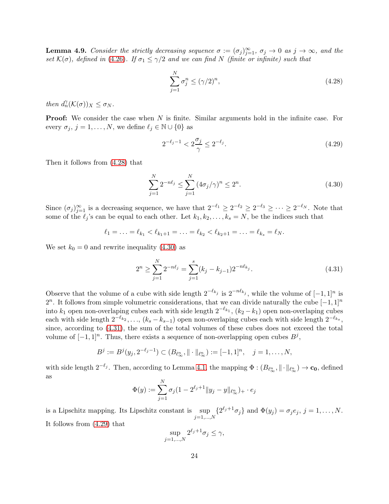<span id="page-23-4"></span>**Lemma 4.9.** Consider the strictly decreasing sequence  $\sigma := (\sigma_j)_{j=1}^{\infty}, \sigma_j \to 0$  as  $j \to \infty$ , and the set  $\mathcal{K}(\sigma)$ , defined in [\(4.26\)](#page-22-0). If  $\sigma_1 \leq \gamma/2$  and we can find N (finite or infinite) such that

<span id="page-23-0"></span>
$$
\sum_{j=1}^{N} \sigma_j^n \le (\gamma/2)^n,\tag{4.28}
$$

then  $d_n^{\gamma}(\mathcal{K}(\sigma))_X \leq \sigma_N$ .

**Proof:** We consider the case when N is finite. Similar arguments hold in the infinite case. For every  $\sigma_j$ ,  $j = 1, ..., N$ , we define  $\ell_j \in \mathbb{N} \cup \{0\}$  as

<span id="page-23-3"></span>
$$
2^{-\ell_j - 1} < 2\frac{\sigma_j}{\gamma} \le 2^{-\ell_j}.\tag{4.29}
$$

Then it follows from [\(4.28\)](#page-23-0) that

<span id="page-23-1"></span>
$$
\sum_{j=1}^{N} 2^{-n\ell_j} \le \sum_{j=1}^{N} \left(4\sigma_j/\gamma\right)^n \le 2^n.
$$
\n(4.30)

Since  $(\sigma_j)_{j=1}^{\infty}$  is a decreasing sequence, we have that  $2^{-\ell_1} \geq 2^{-\ell_2} \geq 2^{-\ell_3} \geq \cdots \geq 2^{-\ell_N}$ . Note that some of the  $\ell_j$ 's can be equal to each other. Let  $k_1, k_2, \ldots, k_s = N$ , be the indices such that

$$
\ell_1 = \ldots = \ell_{k_1} < \ell_{k_1+1} = \ldots = \ell_{k_2} < \ell_{k_2+1} = \ldots = \ell_{k_s} = \ell_N.
$$

We set  $k_0 = 0$  and rewrite inequality [\(4.30\)](#page-23-1) as

<span id="page-23-2"></span>
$$
2^{n} \ge \sum_{j=1}^{N} 2^{-n\ell_j} = \sum_{j=1}^{s} (k_j - k_{j-1}) 2^{-n\ell_{k_j}}.
$$
\n(4.31)

Observe that the volume of a cube with side length  $2^{-\ell_{k_j}}$  is  $2^{-n\ell_{k_j}}$ , while the volume of  $[-1, 1]^n$  is 2<sup>n</sup>. It follows from simple volumetric considerations, that we can divide naturally the cube  $[-1,1]^n$ into  $k_1$  open non-overlaping cubes each with side length  $2^{-\ell_{k_1}}$ ,  $(k_2 - k_1)$  open non-overlaping cubes each with side length  $2^{-\ell_{k_2}}, \ldots, (k_s - k_{s-1})$  open non-overlaping cubes each with side length  $2^{-\ell_{k_s}}$ , since, according to [\(4.31\)](#page-23-2), the sum of the total volumes of these cubes does not exceed the total volume of  $[-1, 1]^n$ . Thus, there exists a sequence of non-overlapping open cubes  $B^j$ ,

$$
B^{j} := B^{j}(y_{j}, 2^{-\ell_{j}-1}) \subset (B_{\ell_{\infty}^{n}}, \|\cdot\|_{\ell_{\infty}^{n}}) := [-1, 1]^{n}, \quad j = 1, \ldots, N,
$$

with side length  $2^{-\ell_j}$ . Then, according to Lemma [4.1,](#page-13-1) the mapping  $\Phi: (B_{\ell_{\infty}^n}, \|\cdot\|_{\ell_{\infty}^n}) \to \mathbf{c_0}$ , defined as

$$
\Phi(y) := \sum_{j=1}^{N} \sigma_j (1 - 2^{\ell_j + 1} ||y_j - y||_{\ell_\infty^n})_+ \cdot e_j
$$

is a Lipschitz mapping. Its Lipschitz constant is sup  $\sup_{j=1,...,N} \{2^{\ell_j+1}\sigma_j\}$  and  $\Phi(y_j) = \sigma_j e_j, j = 1, ..., N$ .

It follows from [\(4.29\)](#page-23-3) that

$$
\sup_{j=1,\dots,N} 2^{\ell_j+1} \sigma_j \le \gamma,
$$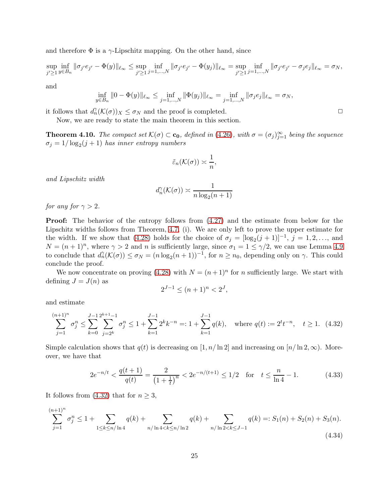and therefore  $\Phi$  is a  $\gamma$ -Lipschitz mapping. On the other hand, since

$$
\sup_{j'\geq 1}\inf_{y\in B_n} \|\sigma_{j'}e_{j'} - \Phi(y)\|_{\ell_\infty} \leq \sup_{j'\geq 1}\inf_{j=1,\dots,N} \|\sigma_{j'}e_{j'} - \Phi(y_j)\|_{\ell_\infty} = \sup_{j'\geq 1}\inf_{j=1,\dots,N} \|\sigma_{j'}e_{j'} - \sigma_j e_j\|_{\ell_\infty} = \sigma_N,
$$

and

$$
\inf_{y \in B_n} \|0 - \Phi(y)\|_{\ell_\infty} \le \inf_{j=1,\dots,N} \|\Phi(y_j)\|_{\ell_\infty} = \inf_{j=1,\dots,N} \|\sigma_j e_j\|_{\ell_\infty} = \sigma_N,
$$

it follows that  $d_n^{\gamma}(\mathcal{K}(\sigma))_X \leq \sigma_N$  and the proof is completed.  $\Box$ 

Now, we are ready to state the main theorem in this section.

<span id="page-24-0"></span>**Theorem 4.10.** The compact set  $\mathcal{K}(\sigma) \subset \mathbf{c_0}$ , defined in [\(4.26\)](#page-22-0), with  $\sigma = (\sigma_j)_{j=1}^{\infty}$  being the sequence  $\sigma_j = 1/\log_2(j+1)$  has inner entropy numbers

$$
\tilde{\varepsilon}_n(\mathcal{K}(\sigma)) \asymp \frac{1}{n},
$$

and Lipschitz width

$$
d_n^{\gamma}(\mathcal{K}(\sigma)) \asymp \frac{1}{n \log_2(n+1)}
$$

for any for  $\gamma > 2$ .

Proof: The behavior of the entropy follows from [\(4.27\)](#page-22-1) and the estimate from below for the Lipschitz widths follows from Theorem, [4.7,](#page-18-2) (i). We are only left to prove the upper estimate for the width. If we show that [\(4.28\)](#page-23-0) holds for the choice of  $\sigma_j = [\log_2(j+1)]^{-1}$ ,  $j = 1, 2, \ldots$ , and  $N = (n+1)^n$ , where  $\gamma > 2$  and n is sufficiently large, since  $\sigma_1 = 1 \leq \gamma/2$ , we can use Lemma [4.9](#page-23-4) to conclude that  $d_n^{\gamma}(\mathcal{K}(\sigma)) \leq \sigma_N = (n \log_2(n+1))^{-1}$ , for  $n \geq n_0$ , depending only on  $\gamma$ . This could conclude the proof.

We now concentrate on proving [\(4.28\)](#page-23-0) with  $N = (n+1)^n$  for n sufficiently large. We start with defining  $J = J(n)$  as

$$
2^{J-1} \le (n+1)^n < 2^J
$$

and estimate

<span id="page-24-1"></span>
$$
\sum_{j=1}^{(n+1)^n} \sigma_j^n \le \sum_{k=0}^{J-1} \sum_{j=2^k}^{2^{k+1}-1} \sigma_j^n \le 1 + \sum_{k=1}^{J-1} 2^k k^{-n} =: 1 + \sum_{k=1}^{J-1} q(k), \quad \text{where } q(t) := 2^t t^{-n}, \quad t \ge 1. \tag{4.32}
$$

Simple calculation shows that  $q(t)$  is decreasing on [1, n/ ln 2] and increasing on [n/ ln 2, ∞). Moreover, we have that

<span id="page-24-2"></span>
$$
2e^{-n/t} < \frac{q(t+1)}{q(t)} = \frac{2}{\left(1 + \frac{1}{t}\right)^n} < 2e^{-n/(t+1)} \le 1/2 \quad \text{for} \quad t \le \frac{n}{\ln 4} - 1. \tag{4.33}
$$

It follows from [\(4.32\)](#page-24-1) that for  $n \geq 3$ ,

<span id="page-24-3"></span>
$$
\sum_{j=1}^{(n+1)^n} \sigma_j^n \le 1 + \sum_{1 \le k \le n/\ln 4} q(k) + \sum_{n/\ln 4 < k \le n/\ln 2} q(k) + \sum_{n/\ln 2 < k \le J-1} q(k) =: S_1(n) + S_2(n) + S_3(n). \tag{4.34}
$$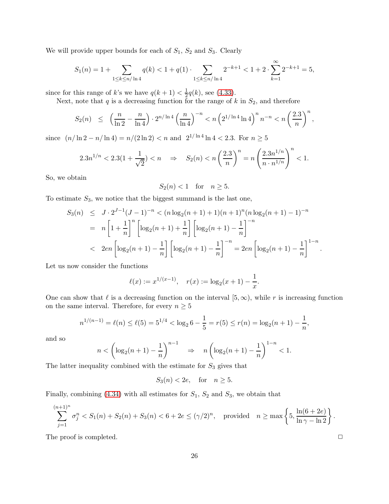We will provide upper bounds for each of  $S_1$ ,  $S_2$  and  $S_3$ . Clearly

$$
S_1(n) = 1 + \sum_{1 \le k \le n/\ln 4} q(k) < 1 + q(1) \cdot \sum_{1 \le k \le n/\ln 4} 2^{-k+1} < 1 + 2 \cdot \sum_{k=1}^{\infty} 2^{-k+1} = 5,
$$

since for this range of k's we have  $q(k+1) < \frac{1}{2}$  $\frac{1}{2}q(k)$ , see [\(4.33\)](#page-24-2).

Next, note that  $q$  is a decreasing function for the range of  $k$  in  $S_2$ , and therefore

$$
S_2(n) \le \left(\frac{n}{\ln 2} - \frac{n}{\ln 4}\right) \cdot 2^{n/\ln 4} \left(\frac{n}{\ln 4}\right)^{-n} < n \left(2^{1/\ln 4} \ln 4\right)^n n^{-n} < n \left(\frac{2.3}{n}\right)^n,
$$

since  $(n/\ln 2 - n/\ln 4) = n/(2 \ln 2) < n$  and  $2^{1/\ln 4} \ln 4 < 2.3$ . For  $n \ge 5$ 

$$
2.3n^{1/n} < 2.3(1 + \frac{1}{\sqrt{2}}) < n \quad \Rightarrow \quad S_2(n) < n \left(\frac{2.3}{n}\right)^n = n \left(\frac{2.3n^{1/n}}{n \cdot n^{1/n}}\right)^n < 1.
$$

So, we obtain

$$
S_2(n) < 1 \quad \text{for} \quad n \ge 5.
$$

To estimate  $S_3$ , we notice that the biggest summand is the last one,

$$
S_3(n) \leq J \cdot 2^{J-1} (J-1)^{-n} < (n \log_2(n+1) + 1)(n+1)^n (n \log_2(n+1) - 1)^{-n}
$$
\n
$$
= n \left[ 1 + \frac{1}{n} \right]^n \left[ \log_2(n+1) + \frac{1}{n} \right] \left[ \log_2(n+1) - \frac{1}{n} \right]^{-n}
$$
\n
$$
< 2en \left[ \log_2(n+1) - \frac{1}{n} \right] \left[ \log_2(n+1) - \frac{1}{n} \right]^{-n} = 2en \left[ \log_2(n+1) - \frac{1}{n} \right]^{1-n}
$$

Let us now consider the functions

$$
\ell(x) := x^{1/(x-1)}, \quad r(x) := \log_2(x+1) - \frac{1}{x}.
$$

One can show that  $\ell$  is a decreasing function on the interval  $[5,\infty)$ , while r is increasing function on the same interval. Therefore, for every  $n\geq 5$ 

$$
n^{1/(n-1)} = \ell(n) \le \ell(5) = 5^{1/4} < \log_2 6 - \frac{1}{5} = r(5) \le r(n) = \log_2(n+1) - \frac{1}{n},
$$

and so

$$
n < \left(\log_2(n+1) - \frac{1}{n}\right)^{n-1} \quad \Rightarrow \quad n\left(\log_2(n+1) - \frac{1}{n}\right)^{1-n} < 1.
$$

The latter inequality combined with the estimate for  $S_3$  gives that

$$
S_3(n) < 2e, \quad \text{for} \quad n \ge 5.
$$

Finally, combining [\(4.34\)](#page-24-3) with all estimates for  $S_1$ ,  $S_2$  and  $S_3$ , we obtain that

$$
\sum_{j=1}^{(n+1)^n} \sigma_j^n < S_1(n) + S_2(n) + S_3(n) < 6 + 2e \le (\gamma/2)^n, \quad \text{provided} \quad n \ge \max\left\{5, \frac{\ln(6+2e)}{\ln \gamma - \ln 2}\right\}.
$$

The proof is completed.  $\Box$ 

.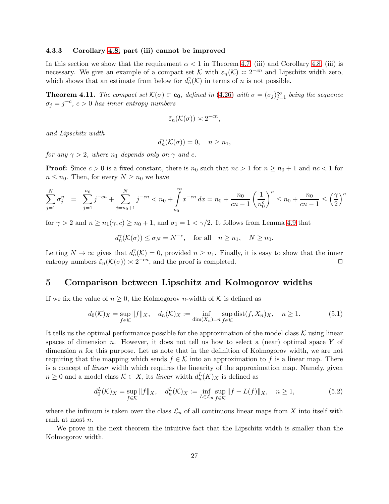#### 4.3.3 Corollary [4.8,](#page-21-0) part (iii) cannot be improved

In this section we show that the requirement  $\alpha < 1$  in Theorem [4.7,](#page-18-2) (iii) and Corollary [4.8,](#page-21-0) (iii) is necessary. We give an example of a compact set K with  $\varepsilon_n(\mathcal{K}) \approx 2^{-cn}$  and Lipschitz width zero, which shows that an estimate from below for  $d_n(\mathcal{K})$  in terms of n is not possible.

**Theorem 4.11.** The compact set  $\mathcal{K}(\sigma) \subset \mathbf{c_0}$ , defined in [\(4.26\)](#page-22-0) with  $\sigma = (\sigma_j)_{j=1}^{\infty}$  being the sequence  $\sigma_j = j^{-c}, c > 0$  has inner entropy numbers

$$
\tilde{\varepsilon}_n(\mathcal{K}(\sigma)) \asymp 2^{-cn},
$$

and Lipschitz width

$$
d_n^{\gamma}(\mathcal{K}(\sigma)) = 0, \quad n \ge n_1,
$$

for any  $\gamma > 2$ , where  $n_1$  depends only on  $\gamma$  and c.

**Proof:** Since  $c > 0$  is a fixed constant, there is  $n_0$  such that  $nc > 1$  for  $n \ge n_0 + 1$  and  $nc < 1$  for  $n \leq n_0$ . Then, for every  $N \geq n_0$  we have

$$
\sum_{j=1}^{N} \sigma_j^n = \sum_{j=1}^{n_0} j^{-cn} + \sum_{j=n_0+1}^{N} j^{-cn} < n_0 + \int_{n_0}^{\infty} x^{-cn} \, dx = n_0 + \frac{n_0}{cn-1} \left(\frac{1}{n_0^c}\right)^n \le n_0 + \frac{n_0}{cn-1} \le \left(\frac{\gamma}{2}\right)^n
$$

for  $\gamma > 2$  and  $n \geq n_1(\gamma, c) \geq n_0 + 1$ , and  $\sigma_1 = 1 < \gamma/2$ . It follows from Lemma [4.9](#page-23-4) that

 $d_n^{\gamma}(\mathcal{K}(\sigma)) \leq \sigma_N = N^{-c}$ , for all  $n \geq n_1$ ,  $N \geq n_0$ .

Letting  $N \to \infty$  gives that  $d_n^{\gamma}(\mathcal{K}) = 0$ , provided  $n \geq n_1$ . Finally, it is easy to show that the inner entropy numbers  $\tilde{\varepsilon}_n(\mathcal{K}(\sigma)) \approx 2^{-cn}$ , and the proof is completed.  $\Box$ 

### <span id="page-26-0"></span>5 Comparison between Lipschitz and Kolmogorov widths

If we fix the value of  $n \geq 0$ , the Kolmogorov *n*-width of K is defined as

$$
d_0(\mathcal{K})_X = \sup_{f \in \mathcal{K}} \|f\|_X, \quad d_n(\mathcal{K})_X := \inf_{\dim(X_n) = n} \sup_{f \in \mathcal{K}} \text{dist}(f, X_n)_X, \quad n \ge 1.
$$
 (5.1)

It tells us the optimal performance possible for the approximation of the model class  $\mathcal K$  using linear spaces of dimension n. However, it does not tell us how to select a (near) optimal space  $Y$  of dimension  $n$  for this purpose. Let us note that in the definition of Kolmogorov width, we are not requiring that the mapping which sends  $f \in \mathcal{K}$  into an approximation to f is a linear map. There is a concept of linear width which requires the linearity of the approximation map. Namely, given  $n \geq 0$  and a model class  $\mathcal{K} \subset X$ , its *linear* width  $d_n^L(K)_X$  is defined as

$$
d_0^L(\mathcal{K})_X = \sup_{f \in \mathcal{K}} \|f\|_X, \quad d_n^L(\mathcal{K})_X := \inf_{L \in \mathcal{L}_n} \sup_{f \in \mathcal{K}} \|f - L(f)\|_X, \quad n \ge 1,
$$
\n
$$
(5.2)
$$

where the infimum is taken over the class  $\mathcal{L}_n$  of all continuous linear maps from X into itself with rank at most n.

We prove in the next theorem the intuitive fact that the Lipschitz width is smaller than the Kolmogorov width.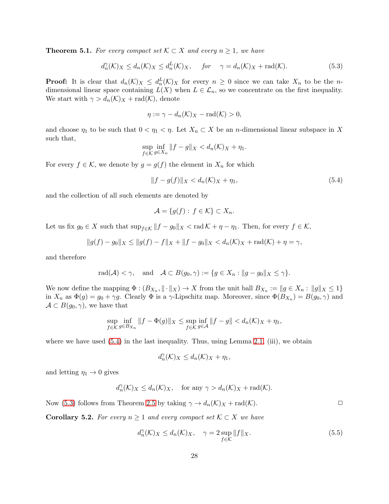<span id="page-27-0"></span>**Theorem 5.1.** For every compact set  $\mathcal{K} \subset X$  and every  $n \geq 1$ , we have

<span id="page-27-2"></span>
$$
d_n^{\gamma}(\mathcal{K})_X \le d_n(\mathcal{K})_X \le d_n^L(\mathcal{K})_X, \quad \text{for} \quad \gamma = d_n(\mathcal{K})_X + \text{rad}(\mathcal{K}). \tag{5.3}
$$

**Proof:** It is clear that  $d_n(\mathcal{K})_X \leq d_n^L(\mathcal{K})_X$  for every  $n \geq 0$  since we can take  $X_n$  to be the ndimensional linear space containing  $L(X)$  when  $L \in \mathcal{L}_n$ , so we concentrate on the first inequality. We start with  $\gamma > d_n(\mathcal{K})_X + \text{rad}(\mathcal{K})$ , denote

$$
\eta := \gamma - d_n(\mathcal{K})_X - \text{rad}(\mathcal{K}) > 0,
$$

and choose  $\eta_1$  to be such that  $0 < \eta_1 < \eta$ . Let  $X_n \subset X$  be an *n*-dimensional linear subspace in X such that,

$$
\sup_{f \in \mathcal{K}} \inf_{g \in X_n} \|f - g\|_X < d_n(\mathcal{K})_X + \eta_1.
$$

For every  $f \in \mathcal{K}$ , we denote by  $g = g(f)$  the element in  $X_n$  for which

<span id="page-27-1"></span>
$$
||f - g(f)||_X < d_n(\mathcal{K})_X + \eta_1,\tag{5.4}
$$

and the collection of all such elements are denoted by

$$
\mathcal{A} = \{g(f) : f \in \mathcal{K}\} \subset X_n.
$$

Let us fix  $g_0 \in X$  such that  $\sup_{f \in \mathcal{K}} ||f - g_0||_X < \text{rad}\,\mathcal{K} + \eta - \eta_1$ . Then, for every  $f \in \mathcal{K}$ ,

$$
||g(f) - g_0||_X \le ||g(f) - f||_X + ||f - g_0||_X < d_n(\mathcal{K})_X + \text{rad}(\mathcal{K}) + \eta = \gamma,
$$

and therefore

$$
\mathrm{rad}(\mathcal{A}) < \gamma, \quad \text{and} \quad \mathcal{A} \subset B(g_0, \gamma) := \{ g \in X_n : \|g - g_0\|_X \le \gamma \}.
$$

We now define the mapping  $\Phi: (B_{X_n}, \|\cdot\|_X) \to X$  from the unit ball  $B_{X_n} := \|g \in X_n : \|g\|_X \leq 1$ in  $X_n$  as  $\Phi(g) = g_0 + \gamma g$ . Clearly  $\Phi$  is a  $\gamma$ -Lipschitz map. Moreover, since  $\Phi(B_{X_n}) = B(g_0, \gamma)$  and  $\mathcal{A} \subset B(g_0, \gamma)$ , we have that

$$
\sup_{f \in \mathcal{K}} \inf_{g \in B_{X_n}} \|f - \Phi(g)\|_X \le \sup_{f \in \mathcal{K}} \inf_{g \in \mathcal{A}} \|f - g\| < d_n(\mathcal{K})_X + \eta_1,
$$

where we have used  $(5.4)$  in the last inequality. Thus, using Lemma [2.1,](#page-2-5) (iii), we obtain

$$
d_n^{\gamma}(\mathcal{K})_X \leq d_n(\mathcal{K})_X + \eta_1,
$$

and letting  $\eta_1 \rightarrow 0$  gives

$$
d_n^{\gamma}(\mathcal{K})_X \leq d_n(\mathcal{K})_X
$$
, for any  $\gamma > d_n(\mathcal{K})_X + \text{rad}(\mathcal{K})$ .

Now [\(5.3\)](#page-27-2) follows from Theorem [2.5](#page-6-0) by taking  $\gamma \to d_n(\mathcal{K})_X + \text{rad}(\mathcal{K})$ .

**Corollary 5.2.** For every  $n \geq 1$  and every compact set  $K \subset X$  we have

$$
d_n^{\gamma}(\mathcal{K})_X \le d_n(\mathcal{K})_X, \quad \gamma = 2 \sup_{f \in \mathcal{K}} ||f||_X. \tag{5.5}
$$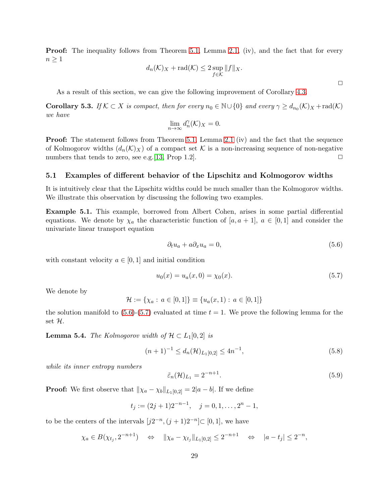**Proof:** The inequality follows from Theorem [5.1,](#page-27-0) Lemma [2.1,](#page-2-5) (iv), and the fact that for every  $n\geq 1$ 

$$
d_n(\mathcal{K})_X + \text{rad}(\mathcal{K}) \le 2 \sup_{f \in \mathcal{K}} \|f\|_X.
$$

As a result of this section, we can give the following improvement of Corollary [4.3.](#page-16-0)

<span id="page-28-0"></span>**Corollary 5.3.** If  $K \subset X$  is compact, then for every  $n_0 \in \mathbb{N} \cup \{0\}$  and every  $\gamma \geq d_{n_0}(K)_X + \text{rad}(K)$ we have

$$
\lim_{n \to \infty} d_n^{\gamma}(\mathcal{K})_X = 0.
$$

**Proof:** The statement follows from Theorem [5.1,](#page-27-0) Lemma [2.1](#page-2-5) (iv) and the fact that the sequence of Kolmogorov widths  $(d_n(\mathcal{K})_X)$  of a compact set  $\mathcal K$  is a non-increasing sequence of non-negative numbers that tends to zero, see e.g. [13, Prop 1.2]. numbers that tends to zero, see e.g.  $[13,$  Prop 1.2].

#### 5.1 Examples of different behavior of the Lipschitz and Kolmogorov widths

It is intuitively clear that the Lipschitz widths could be much smaller than the Kolmogorov widths. We illustrate this observation by discussing the following two examples.

Example 5.1. This example, borrowed from Albert Cohen, arises in some partial differential equations. We denote by  $\chi_a$  the characteristic function of  $[a, a + 1], a \in [0, 1]$  and consider the univariate linear transport equation

<span id="page-28-1"></span>
$$
\partial_t u_a + a \partial_x u_a = 0,\tag{5.6}
$$

with constant velocity  $a \in [0,1]$  and initial condition

<span id="page-28-2"></span>
$$
u_0(x) = u_a(x,0) = \chi_0(x). \tag{5.7}
$$

We denote by

$$
\mathcal{H} := \{ \chi_a : a \in [0,1] \} \equiv \{ u_a(x,1) : a \in [0,1] \}
$$

the solution manifold to  $(5.6)-(5.7)$  $(5.6)-(5.7)$  evaluated at time  $t = 1$ . We prove the following lemma for the set H.

<span id="page-28-5"></span>**Lemma 5.4.** The Kolmogorov width of  $\mathcal{H} \subset L_1[0,2]$  is

<span id="page-28-4"></span>
$$
(n+1)^{-1} \le d_n(\mathcal{H})_{L_1[0,2]} \le 4n^{-1},\tag{5.8}
$$

while its inner entropy numbers

<span id="page-28-3"></span>
$$
\tilde{\varepsilon}_n(\mathcal{H})_{L_1} = 2^{-n+1}.\tag{5.9}
$$

**Proof:** We first observe that  $\|\chi_a - \chi_b\|_{L_1[0,2]} = 2|a - b|$ . If we define

$$
t_j := (2j+1)2^{-n-1}, \quad j = 0, 1, \dots, 2^n - 1,
$$

to be the centers of the intervals  $[j2^{-n}, (j+1)2^{-n}] \subset [0,1]$ , we have

$$
\chi_a \in B(\chi_{t_j}, 2^{-n+1}) \quad \Leftrightarrow \quad ||\chi_a - \chi_{t_j}||_{L_1[0,2]} \leq 2^{-n+1} \quad \Leftrightarrow \quad |a - t_j| \leq 2^{-n},
$$

 $\Box$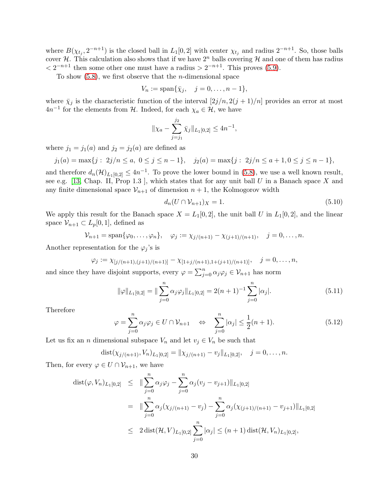where  $B(\chi_{t_j}, 2^{-n+1})$  is the closed ball in  $L_1[0,2]$  with center  $\chi_{t_j}$  and radius  $2^{-n+1}$ . So, those balls cover H. This calculation also shows that if we have  $2^n$  balls covering H and one of them has radius  $\langle 2^{-n+1}$  then some other one must have a radius >  $2^{-n+1}$ . This proves [\(5.9\)](#page-28-3).

To show  $(5.8)$ , we first observe that the *n*-dimensional space

$$
V_n := \mathrm{span}\{\bar{\chi}_j, \quad j=0,\ldots,n-1\},\
$$

where  $\bar{\chi}_j$  is the characteristic function of the interval  $[2j/n, 2(j + 1)/n]$  provides an error at most  $4n^{-1}$  for the elements from  $H$ . Indeed, for each  $\chi_a \in \mathcal{H}$ , we have

$$
\|\chi_a - \sum_{j=j_1}^{j_2} \bar{\chi}_j\|_{L_1[0,2]} \le 4n^{-1},
$$

where  $j_1 = j_1(a)$  and  $j_2 = j_2(a)$  are defined as

$$
j_1(a) = \max\{j : 2j/n \le a, 0 \le j \le n-1\}, \quad j_2(a) = \max\{j : 2j/n \le a+1, 0 \le j \le n-1\},\
$$

and therefore  $d_n(\mathcal{H})_{L_1[0,2]} \leq 4n^{-1}$ . To prove the lower bound in [\(5.8\)](#page-28-4), we use a well known result, see e.g. [\[13,](#page-39-5) Chap. II, Prop 1.3], which states that for any unit ball  $U$  in a Banach space  $X$  and any finite dimensional space  $\mathcal{V}_{n+1}$  of dimension  $n+1$ , the Kolmogorov width

<span id="page-29-1"></span>
$$
d_n(U \cap \mathcal{V}_{n+1})_X = 1. \tag{5.10}
$$

We apply this result for the Banach space  $X = L_1[0,2]$ , the unit ball U in  $L_1[0,2]$ , and the linear space  $\mathcal{V}_{n+1} \subset L_p[0,1]$ , defined as

$$
V_{n+1} = \text{span}\{\varphi_0, ..., \varphi_n\}, \quad \varphi_j := \chi_{j/(n+1)} - \chi_{(j+1)/(n+1)}, \quad j = 0, ..., n.
$$

Another representation for the  $\varphi_j$ 's is

$$
\varphi_j := \chi_{[j/(n+1),(j+1)/(n+1)]} - \chi_{[1+j/(n+1),1+(j+1)/(n+1)]}, \quad j = 0,\ldots,n,
$$

and since they have disjoint supports, every  $\varphi = \sum_{j=0}^{n} \alpha_j \varphi_j \in V_{n+1}$  has norm

$$
\|\varphi\|_{L_1[0,2]} = \|\sum_{j=0}^n \alpha_j \varphi_j\|_{L_1[0,2]} = 2(n+1)^{-1} \sum_{j=0}^n |\alpha_j|.
$$
 (5.11)

Therefore

<span id="page-29-0"></span>
$$
\varphi = \sum_{j=0}^{n} \alpha_j \varphi_j \in U \cap \mathcal{V}_{n+1} \quad \Leftrightarrow \quad \sum_{j=0}^{n} |\alpha_j| \le \frac{1}{2}(n+1). \tag{5.12}
$$

Let us fix an *n* dimensional subspace  $V_n$  and let  $v_j \in V_n$  be such that

$$
dist(\chi_{j/(n+1)}, V_n)_{L_1[0,2]} = ||\chi_{j/(n+1)} - v_j||_{L_1[0,2]}, \quad j = 0, \ldots, n.
$$

Then, for every  $\varphi \in U \cap \mathcal{V}_{n+1}$ , we have

$$
dist(\varphi, V_n)_{L_1[0,2]} \leq \| \sum_{j=0}^n \alpha_j \varphi_j - \sum_{j=0}^n \alpha_j (v_j - v_{j+1}) \|_{L_1[0,2]}
$$
  

$$
= \| \sum_{j=0}^n \alpha_j (\chi_{j/(n+1)} - v_j) - \sum_{j=0}^n \alpha_j (\chi_{(j+1)/(n+1)} - v_{j+1}) \|_{L_1[0,2]}
$$
  

$$
\leq 2 \operatorname{dist}(\mathcal{H}, V)_{L_1[0,2]} \sum_{j=0}^n |\alpha_j| \leq (n+1) \operatorname{dist}(\mathcal{H}, V_n)_{L_1[0,2]},
$$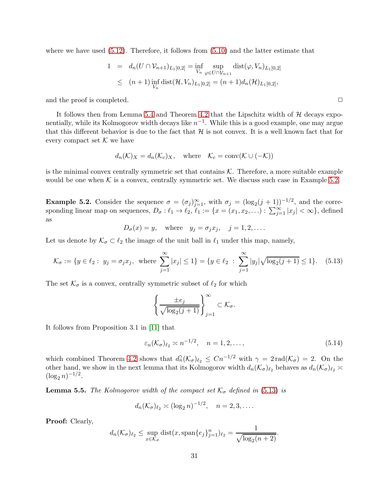where we have used  $(5.12)$ . Therefore, it follows from  $(5.10)$  and the latter estimate that

$$
1 = d_n(U \cap \mathcal{V}_{n+1})_{L_1[0,2]} = \inf_{V_n} \sup_{\varphi \in U \cap \mathcal{V}_{n+1}} \text{dist}(\varphi, V_n)_{L_1[0,2]}
$$
  

$$
\leq (n+1) \inf_{V_n} \text{dist}(\mathcal{H}, V_n)_{L_1[0,2]} = (n+1) d_n(\mathcal{H})_{L_1[0,2]},
$$

and the proof is completed.  $\Box$ 

It follows then from Lemma [5.4](#page-28-5) and Theorem [4.2](#page-14-0) that the Lipschitz width of  $H$  decays exponentially, while its Kolmogorov width decays like  $n^{-1}$ . While this is a good example, one may argue that this different behavior is due to the fact that  $H$  is not convex. It is a well known fact that for every compact set  $K$  we have

$$
d_n(\mathcal{K})_X = d_n(\mathcal{K}_c)_X
$$
, where  $\mathcal{K}_c = \text{conv}(\mathcal{K} \cup (-\mathcal{K}))$ 

is the minimal convex centrally symmetric set that contains  $K$ . Therefore, a more suitable example would be one when  $K$  is a convex, centrally symmetric set. We discuss such case in Example [5.2.](#page-30-0)

<span id="page-30-0"></span>**Example 5.2.** Consider the sequence  $\sigma = (\sigma_j)_{j=1}^{\infty}$ , with  $\sigma_j = (\log_2(j+1))^{-1/2}$ , and the corresponding linear map on sequences,  $D_{\sigma}: \ell_1 \to \ell_2, \ell_1 := \{x = (x_1, x_2, \ldots) : \sum_{j=1}^{\infty} |x_j| < \infty\}$ , defined as

$$
D_{\sigma}(x) = y
$$
, where  $y_j = \sigma_j x_j$ ,  $j = 1, 2, ...$ 

Let us denote by  $\mathcal{K}_{\sigma} \subset \ell_2$  the image of the unit ball in  $\ell_1$  under this map, namely,

<span id="page-30-1"></span>
$$
\mathcal{K}_{\sigma} := \{ y \in \ell_2 : y_j = \sigma_j x_j, \text{ where } \sum_{j=1}^{\infty} |x_j| \le 1 \} = \{ y \in \ell_2 : \sum_{j=1}^{\infty} |y_j| \sqrt{\log_2(j+1)} \le 1 \}. \tag{5.13}
$$

The set  $\mathcal{K}_{\sigma}$  is a convex, centrally symmetric subset of  $\ell_2$  for which

$$
\left\{\frac{\pm e_j}{\sqrt{\log_2(j+1)}}\right\}_{j=1}^{\infty} \subset \mathcal{K}_{\sigma}.
$$

It follows from Proposition 3.1 in [\[11\]](#page-39-8) that

$$
\varepsilon_n(\mathcal{K}_\sigma)_{\ell_2} \asymp n^{-1/2}, \quad n = 1, 2, \dots,\tag{5.14}
$$

which combined Theorem [4.2](#page-14-0) shows that  $d_n(\mathcal{K}_{\sigma})_{\ell_2} \leq Cn^{-1/2}$  with  $\gamma = 2 \text{ rad}(\mathcal{K}_{\sigma}) = 2$ . On the other hand, we show in the next lemma that its Kolmogorov width  $d_n(\mathcal{K}_{\sigma})_{\ell_2}$  behaves as  $d_n(\mathcal{K}_{\sigma})_{\ell_2} \geq$  $(\log_2 n)^{-1/2}.$ 

**Lemma 5.5.** The Kolmogorov width of the compact set  $\mathcal{K}_{\sigma}$  defined in [\(5.13\)](#page-30-1) is

$$
d_n(\mathcal{K}_{\sigma})_{\ell_2} \asymp (\log_2 n)^{-1/2}, \quad n = 2, 3, \dots.
$$

Proof: Clearly,

$$
d_n(\mathcal{K}_{\sigma})_{\ell_2} \le \sup_{x \in \mathcal{K}_{\sigma}} \text{dist}(x, \text{span}\{e_j\}_{j=1}^n)_{\ell_2} = \frac{1}{\sqrt{\log_2(n+2)}}.
$$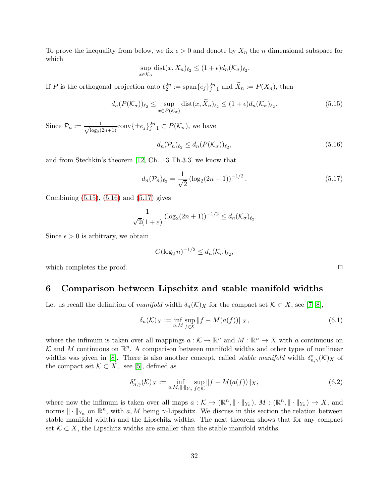To prove the inequality from below, we fix  $\epsilon > 0$  and denote by  $X_n$  the n dimensional subspace for which

$$
\sup_{x \in \mathcal{K}_{\sigma}} \text{dist}(x, X_n)_{\ell_2} \le (1 + \epsilon) d_n(\mathcal{K}_{\sigma})_{\ell_2}.
$$

If P is the orthogonal projection onto  $\ell_2^{2n} := \text{span}\{e_j\}_{j=1}^{2n}$  and  $\widetilde{X}_n := P(X_n)$ , then

<span id="page-31-1"></span>
$$
d_n(P(\mathcal{K}_{\sigma}))_{\ell_2} \leq \sup_{x \in P(\mathcal{K}_{\sigma})} \text{dist}(x, \widetilde{X}_n)_{\ell_2} \leq (1 + \epsilon) d_n(\mathcal{K}_{\sigma})_{\ell_2}.
$$
\n(5.15)

Since  $\mathcal{P}_n := \frac{1}{\sqrt{\log_2{n}}}$  $\frac{1}{\log_2(2n+1)}$ conv $\{\pm e_j\}_{j=1}^{2n} \subset P(\mathcal{K}_{\sigma})$ , we have

<span id="page-31-2"></span>
$$
d_n(\mathcal{P}_n)_{\ell_2} \le d_n(P(\mathcal{K}_\sigma))_{\ell_2},\tag{5.16}
$$

and from Stechkin's theorem [\[12,](#page-39-6) Ch. 13 Th.3.3] we know that

<span id="page-31-3"></span>
$$
d_n(\mathcal{P}_n)_{\ell_2} = \frac{1}{\sqrt{2}} \left( \log_2(2n+1) \right)^{-1/2} . \tag{5.17}
$$

Combining [\(5.15\)](#page-31-1), [\(5.16\)](#page-31-2) and [\(5.17\)](#page-31-3) gives

$$
\frac{1}{\sqrt{2}(1+\varepsilon)}\left(\log_2(2n+1)\right)^{-1/2} \leq d_n(\mathcal{K}_\sigma)_{\ell_2}.
$$

Since  $\epsilon > 0$  is arbitrary, we obtain

$$
C(\log_2 n)^{-1/2} \le d_n(\mathcal{K}_\sigma)_{\ell_2},
$$

<span id="page-31-0"></span>which completes the proof.  $\Box$ 

### 6 Comparison between Lipschitz and stable manifold widths

Let us recall the definition of manifold width  $\delta_n(\mathcal{K})_X$  for the compact set  $\mathcal{K} \subset X$ , see [\[7,](#page-39-9) [8\]](#page-39-0),

$$
\delta_n(\mathcal{K})_X := \inf_{a,M} \sup_{f \in \mathcal{K}} ||f - M(a(f))||_X,\tag{6.1}
$$

where the infimum is taken over all mappings  $a: \mathcal{K} \to \mathbb{R}^n$  and  $M: \mathbb{R}^n \to X$  with a continuous on K and M continuous on  $\mathbb{R}^n$ . A comparison between manifold widths and other types of nonlinear widths was given in [\[8\]](#page-39-0). There is also another concept, called *stable manifold* width  $\delta_{n,\gamma}^*(\mathcal{K})_X$  of the compact set  $K \subset X$ , see [\[5\]](#page-39-1), defined as

$$
\delta_{n,\gamma}^*(\mathcal{K})_X := \inf_{a,M,\|\cdot\|_{Y_n}} \sup_{f \in \mathcal{K}} \|f - M(a(f))\|_X, \tag{6.2}
$$

where now the infimum is taken over all maps  $a: \mathcal{K} \to (\mathbb{R}^n, \|\cdot\|_{Y_n}), M: (\mathbb{R}^n, \|\cdot\|_{Y_n}) \to X$ , and norms  $\|\cdot\|_{Y_n}$  on  $\mathbb{R}^n$ , with a, M being  $\gamma$ -Lipschitz. We discuss in this section the relation between stable manifold widths and the Lipschitz widths. The next theorem shows that for any compact set  $K \subset X$ , the Lipschitz widths are smaller than the stable manifold widths.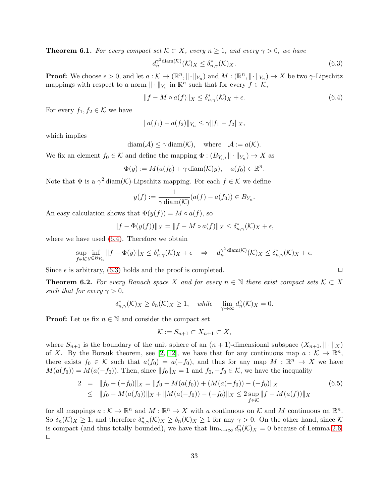<span id="page-32-0"></span>**Theorem 6.1.** For every compact set  $K \subset X$ , every  $n \geq 1$ , and every  $\gamma > 0$ , we have

<span id="page-32-2"></span>
$$
d_n^{\gamma^2 \text{diam}(\mathcal{K})}(\mathcal{K})_X \le \delta_{n,\gamma}^*(\mathcal{K})_X. \tag{6.3}
$$

**Proof:** We choose  $\epsilon > 0$ , and let  $a: \mathcal{K} \to (\mathbb{R}^n, \|\cdot\|_{Y_n})$  and  $M: (\mathbb{R}^n, \|\cdot\|_{Y_n}) \to X$  be two  $\gamma$ -Lipschitz mappings with respect to a norm  $\|\cdot\|_{Y_n}$  in  $\mathbb{R}^n$  such that for every  $f \in \mathcal{K}$ ,

<span id="page-32-1"></span>
$$
||f - M \circ a(f)||_X \le \delta_{n,\gamma}^*(\mathcal{K})_X + \epsilon. \tag{6.4}
$$

For every  $f_1, f_2 \in \mathcal{K}$  we have

$$
||a(f_1) - a(f_2)||_{Y_n} \le \gamma ||f_1 - f_2||_X,
$$

which implies

 $diam(\mathcal{A}) \leq \gamma diam(\mathcal{K}), \quad where \quad \mathcal{A} := a(\mathcal{K}).$ 

We fix an element  $f_0 \in \mathcal{K}$  and define the mapping  $\Phi : (B_{Y_n}, \|\cdot\|_{Y_n}) \to X$  as

$$
\Phi(y) := M(a(f_0) + \gamma \operatorname{diam}(\mathcal{K})y), \quad a(f_0) \in \mathbb{R}^n.
$$

Note that  $\Phi$  is a  $\gamma^2$  diam(K)-Lipschitz mapping. For each  $f \in \mathcal{K}$  we define

$$
y(f) := \frac{1}{\gamma \operatorname{diam}(\mathcal{K})} (a(f) - a(f_0)) \in B_{Y_n}.
$$

An easy calculation shows that  $\Phi(y(f)) = M \circ a(f)$ , so

$$
||f - \Phi(y(f))||_X = ||f - M \circ a(f)||_X \le \delta_{n,\gamma}^*(\mathcal{K})_X + \epsilon,
$$

where we have used [\(6.4\)](#page-32-1). Therefore we obtain

$$
\sup_{f \in \mathcal{K}} \inf_{y \in B_{Y_n}} \|f - \Phi(y)\|_X \le \delta_{n,\gamma}^*(\mathcal{K})_X + \epsilon \quad \Rightarrow \quad d_n^{\gamma^2 \operatorname{diam}(\mathcal{K})}(\mathcal{K})_X \le \delta_{n,\gamma}^*(\mathcal{K})_X + \epsilon.
$$

Since  $\epsilon$  is arbitrary, [\(6.3\)](#page-32-2) holds and the proof is completed.  $\Box$ 

**Theorem 6.2.** For every Banach space X and for every  $n \in \mathbb{N}$  there exist compact sets  $K \subset X$ such that for every  $\gamma > 0$ ,

$$
\delta_{n,\gamma}^*(\mathcal{K})_X \ge \delta_n(\mathcal{K})_X \ge 1, \quad while \quad \lim_{\gamma \to \infty} d_n^{\gamma}(\mathcal{K})_X = 0.
$$

**Proof:** Let us fix  $n \in \mathbb{N}$  and consider the compact set

$$
\mathcal{K} := S_{n+1} \subset X_{n+1} \subset X,
$$

where  $S_{n+1}$  is the boundary of the unit sphere of an  $(n+1)$ -dimensional subspace  $(X_{n+1}, \|\cdot\|_X)$ of X. By the Borsuk theorem, see [\[2,](#page-39-10) [12\]](#page-39-6), we have that for any continuous map  $a: \mathcal{K} \to \mathbb{R}^n$ , there exists  $f_0 \in \mathcal{K}$  such that  $a(f_0) = a(-f_0)$ , and thus for any map  $M : \mathbb{R}^n \to X$  we have  $M(a(f_0)) = M(a(-f_0))$ . Then, since  $||f_0||_X = 1$  and  $f_0, -f_0 \in \mathcal{K}$ , we have the inequality

$$
2 = ||f_0 - (-f_0)||_X = ||f_0 - M(a(f_0)) + (M(a(-f_0)) - (-f_0)||_X)
$$
(6.5)  

$$
\leq ||f_0 - M(a(f_0))||_X + ||M(a(-f_0)) - (-f_0)||_X \leq 2 \sup_{f \in \mathcal{K}} ||f - M(a(f))||_X
$$

for all mappings  $a: \mathcal{K} \to \mathbb{R}^n$  and  $M: \mathbb{R}^n \to X$  with a continuous on  $\mathcal{K}$  and  $M$  continuous on  $\mathbb{R}^n$ . So  $\delta_n(\mathcal{K})_X \geq 1$ , and therefore  $\delta_{n,\gamma}^*(\mathcal{K})_X \geq \delta_n(\mathcal{K})_X \geq 1$  for any  $\gamma > 0$ . On the other hand, since  $\mathcal{K}$ is compact (and thus totally bounded), we have that  $\lim_{\gamma\to\infty} d_n^{\gamma}(\mathcal{K})_X = 0$  because of Lemma [2.6.](#page-7-0)  $\Box$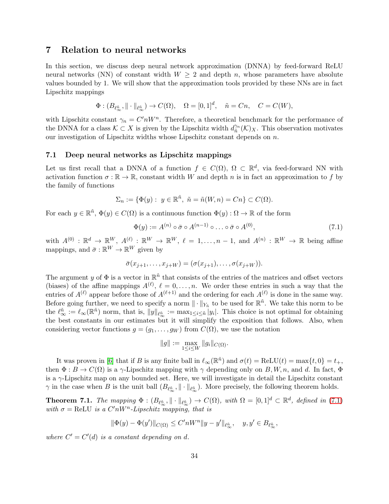## <span id="page-33-0"></span>7 Relation to neural networks

In this section, we discuss deep neural network approximation (DNNA) by feed-forward ReLU neural networks (NN) of constant width  $W \geq 2$  and depth n, whose parameters have absolute values bounded by 1. We will show that the approximation tools provided by these NNs are in fact Lipschitz mappings

$$
\Phi: (B_{\ell_{\infty}^{\tilde{n}}}, \|\cdot\|_{\ell_{\infty}^{\tilde{n}}}) \to C(\Omega), \quad \Omega = [0,1]^d, \quad \tilde{n} = Cn, \quad C = C(W),
$$

with Lipschitz constant  $\gamma_n = C' n W^n$ . Therefore, a theoretical benchmark for the performance of the DNNA for a class  $K \subset X$  is given by the Lipschitz width  $d_{\tilde{n}}^{\gamma_n}$  $\widetilde{n}^n(\mathcal{K})_X$ . This observation motivates our investigation of Lipschitz widths whose Lipschitz constant depends on  $n$ .

#### 7.1 Deep neural networks as Lipschitz mappings

Let us first recall that a DNNA of a function  $f \in C(\Omega)$ ,  $\Omega \subset \mathbb{R}^d$ , via feed-forward NN with activation function  $\sigma : \mathbb{R} \to \mathbb{R}$ , constant width W and depth n is in fact an approximation to f by the family of functions

$$
\Sigma_n := \{ \Phi(y) : y \in \mathbb{R}^n, \ \tilde{n} = \tilde{n}(W, n) = Cn \} \subset C(\Omega).
$$

For each  $y \in \mathbb{R}^{\tilde{n}}$ ,  $\Phi(y) \in C(\Omega)$  is a continuous function  $\Phi(y) : \Omega \to \mathbb{R}$  of the form

<span id="page-33-2"></span>
$$
\Phi(y) := A^{(n)} \circ \bar{\sigma} \circ A^{(n-1)} \circ \ldots \circ \bar{\sigma} \circ A^{(0)},\tag{7.1}
$$

with  $A^{(0)}: \mathbb{R}^d \to \mathbb{R}^W$ ,  $A^{(\ell)}: \mathbb{R}^W \to \mathbb{R}^W$ ,  $\ell = 1, \ldots, n-1$ , and  $A^{(n)}: \mathbb{R}^W \to \mathbb{R}$  being affine mappings, and  $\bar{\sigma}: \mathbb{R}^W \to \mathbb{R}^W$  given by

$$
\bar{\sigma}(x_{j+1},\ldots,x_{j+W})=(\sigma(x_{j+1}),\ldots,\sigma(x_{j+W})).
$$

The argument y of  $\Phi$  is a vector in  $\mathbb{R}^n$  that consists of the entries of the matrices and offset vectors (biases) of the affine mappings  $A^{(\ell)}$ ,  $\ell = 0, \ldots, n$ . We order these entries in such a way that the entries of  $A^{(\ell)}$  appear before those of  $A^{(\ell+1)}$  and the ordering for each  $A^{(\ell)}$  is done in the same way. Before going further, we need to specify a norm  $\|\cdot\|_{Y_{\tilde{n}}}$  to be used for  $\mathbb{R}^{\tilde{n}}$ . We take this norm to be the  $\ell_{\infty}^{\tilde{n}} := \ell_{\infty}(\mathbb{R}^{\tilde{n}})$  norm, that is,  $||y||_{\ell_{\infty}^{\tilde{n}}} := \max_{1 \leq i \leq \tilde{n}} |y_i|$ . This choice is not optimal for obtaining the best constants in our estimates but it will simplify the exposition that follows. Also, when considering vector functions  $g = (g_1, \ldots, g_W)$  from  $C(\Omega)$ , we use the notation

$$
||g|| := \max_{1 \leq i \leq W} ||g_i||_{C(\Omega)}.
$$

It was proven in [\[6\]](#page-39-2) that if B is any finite ball in  $\ell_{\infty}(\mathbb{R}^{\tilde{n}})$  and  $\sigma(t) = \text{ReLU}(t) = \max\{t, 0\} = t_{+}$ , then  $\Phi : B \to C(\Omega)$  is a  $\gamma$ -Lipschitz mapping with  $\gamma$  depending only on B, W, n, and d. In fact,  $\Phi$ is a  $\gamma$ -Lipschitz map on any bounded set. Here, we will investigate in detail the Lipschitz constant  $\gamma$  in the case when B is the unit ball  $(B_{\ell_{\infty}^{\tilde{n}}}, \|\cdot\|_{\ell_{\infty}^{\tilde{n}}})$ . More precisely, the following theorem holds.

<span id="page-33-1"></span>**Theorem 7.1.** The mapping  $\Phi: (B_{\ell_{\infty}^{\tilde{n}}}, \|\cdot\|_{\ell_{\infty}^{\tilde{n}}}) \to C(\Omega)$ , with  $\Omega = [0,1]^d \subset \mathbb{R}^d$ , defined in [\(7.1\)](#page-33-2) with  $\sigma = \text{ReLU}$  is a  $C' n W^n$ -Lipschitz mapping, that is

$$
\|\Phi(y) - \Phi(y')\|_{C(\Omega)} \le C' nW^n \|y - y'\|_{\ell_\infty^{\tilde{n}}}, \quad y, y' \in B_{\ell_\infty^{\tilde{n}}},
$$

where  $C' = C'(d)$  is a constant depending on d.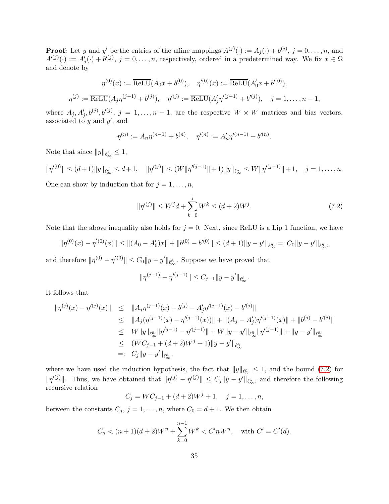**Proof:** Let y and y' be the entries of the affine mappings  $A^{(j)}(\cdot) := A_j(\cdot) + b^{(j)}, j = 0, \ldots, n$ , and  $A^{(j)}(\cdot) := A'_{j}(\cdot) + b^{(j)}, \ j = 0, \ldots, n$ , respectively, ordered in a predetermined way. We fix  $x \in \Omega$ and denote by

$$
\eta^{(0)}(x) := \overline{\text{ReLU}}(A_0 x + b^{(0)}), \quad \eta'^{(0)}(x) := \overline{\text{ReLU}}(A'_0 x + b'^{(0)}),
$$
  

$$
\eta^{(j)} := \overline{\text{ReLU}}(A_j \eta^{(j-1)} + b^{(j)}), \quad \eta'^{(j)} := \overline{\text{ReLU}}(A'_j \eta'^{(j-1)} + b'^{(j)}), \quad j = 1, ..., n-1,
$$

where  $A_j, A'_j, b^{(j)}, b'^{(j)}, j = 1, \ldots, n-1$ , are the respective  $W \times W$  matrices and bias vectors, associated to  $y$  and  $y'$ , and

$$
\eta^{(n)} := A_n \eta^{(n-1)} + b^{(n)}, \quad \eta'^{(n)} := A'_n \eta'^{(n-1)} + b'^{(n)}.
$$

Note that since  $||y||_{\ell_{\infty}^{\tilde{n}}} \leq 1$ ,

 $\|\eta'^{(0)}\| \le (d+1) \|y\|_{\ell_\infty^{\tilde{n}}} \le d+1, \quad \|\eta'^{(j)}\| \le (W\|\eta'^{(j-1)}\|+1) \|y\|_{\ell_\infty^{\tilde{n}}} \le W\|\eta'^{(j-1)}\|+1, \quad j=1,\ldots,n.$ One can show by induction that for  $j = 1, \ldots, n$ ,

<span id="page-34-0"></span>
$$
\|\eta'^{(j)}\| \le W^j d + \sum_{k=0}^j W^k \le (d+2)W^j. \tag{7.2}
$$

Note that the above inequality also holds for  $j = 0$ . Next, since ReLU is a Lip 1 function, we have

$$
\|\eta^{(0)}(x)-\eta^{'(0)}(x)\| \leq \|(A_0-A_0')x\|+\|b^{(0)}-b'^{(0)}\| \leq (d+1)\|y-y'\|_{\ell_\infty^{\tilde{n}}}=:C_0\|y-y'\|_{\ell_\infty^{\tilde{n}}},
$$

and therefore  $\|\eta^{(0)} - \eta^{'(0)}\| \leq C_0 \|y - y'\|_{\ell^{\tilde{n}}_{\infty}}$ . Suppose we have proved that

$$
\|\eta^{(j-1)} - \eta'^{(j-1)}\| \le C_{j-1} \|y - y'\|_{\ell_\infty}.
$$

It follows that

$$
\begin{array}{rcl}\n\|\eta^{(j)}(x) - \eta'^{(j)}(x)\| &\leq & \|A_j \eta^{(j-1)}(x) + b^{(j)} - A'_j \eta'^{(j-1)}(x) - b'^{(j)}\| \\
&\leq & \|A_j (\eta^{(j-1)}(x) - \eta'^{(j-1)}(x))\| + \| (A_j - A'_j) \eta'^{(j-1)}(x)\| + \|b^{(j)} - b'^{(j)}\| \\
&\leq & W \|y\|_{\ell_{\infty}^{\tilde{n}}} \|\eta^{(j-1)} - \eta'^{(j-1)}\| + W \|y - y'\|_{\ell_{\infty}^{\tilde{n}}} \|\eta'^{(j-1)}\| + \|y - y'\|_{\ell_{\infty}^{\tilde{n}}} \\
&\leq & (WC_{j-1} + (d+2)W^j + 1) \|y - y'\|_{\ell_{\infty}^{\tilde{n}}} \\
&= & C_j \|y - y'\|_{\ell_{\infty}^{\tilde{n}}},\n\end{array}
$$

where we have used the induction hypothesis, the fact that  $||y||_{\ell^{\tilde{n}}_{\infty}} \leq 1$ , and the bound [\(7.2\)](#page-34-0) for  $\|\eta^{(j)}\|$ . Thus, we have obtained that  $\|\eta^{(j)} - \eta^{(j)}\| \le C_j \|y - y'\|_{\ell_{\infty}^{\tilde{n}}}$ , and therefore the following recursive relation

$$
C_j = WC_{j-1} + (d+2)W^j + 1, \quad j = 1, \dots, n,
$$

between the constants  $C_j$ ,  $j = 1, ..., n$ , where  $C_0 = d + 1$ . We then obtain

$$
C_n < (n+1)(d+2)W^n + \sum_{k=0}^{n-1} W^k < C'nW^n, \quad \text{with } C' = C'(d).
$$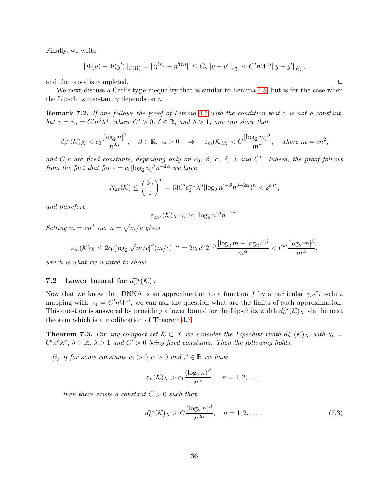Finally, we write

$$
\|\Phi(y) - \Phi(y')\|_{C(\Omega)} = \|\eta^{(n)} - \eta'^{(n)}\| \le C_n \|y - y'\|_{\ell_\infty} \le C' n W^n \|y - y'\|_{\ell_\infty} \,
$$

and the proof is completed.  $\Box$ 

We next discuss a Carl's type inequality that is similar to Lemma [4.5,](#page-17-2) but is for the case when the Lipschitz constant  $\gamma$  depends on n.

**Remark 7.2.** If one follows the proof of Lemma [4.5](#page-17-2) with the condition that  $\gamma$  is not a constant, but  $\gamma = \gamma_n = C'n^{\delta} \lambda^n$ , where  $C' > 0$ ,  $\delta \in \mathbb{R}$ , and  $\lambda > 1$ , one can show that

$$
d_n^{\gamma_n}(\mathcal{K})_X < c_0 \frac{[\log_2 n]^{\beta}}{n^{2\alpha}}, \quad \beta \in \mathbb{R}, \ \alpha > 0 \quad \Rightarrow \quad \varepsilon_m(\mathcal{K})_X < C \frac{[\log_2 m]^{\beta}}{m^{\alpha}}, \quad \text{where } m = cn^2,
$$

and C, c are fixed constants, depending only on  $c_0$ ,  $\beta$ ,  $\alpha$ ,  $\delta$ ,  $\lambda$  and C'. Indeed, the proof follows from the fact that for  $\varepsilon = c_0 [\log_2 n]^{\beta} n^{-2\alpha}$  we have

$$
N_{2\varepsilon}(\mathcal{K}) \le \left(\frac{3\gamma}{\varepsilon}\right)^n = (3C'c_0^{-1}\lambda^n[\log_2 n]^{-\beta}n^{\delta+2\alpha})^n < 2^{cn^2},
$$

and therefore

$$
\varepsilon_{cn^2}(\mathcal{K})_X < 2c_0[\log_2 n]^{\beta} n^{-2\alpha}.
$$

Setting  $m = cn^2$  i.e.  $n = \sqrt{m/c}$  gives

$$
\varepsilon_m(\mathcal{K})_X \leq 2c_0[\log_2\sqrt{m/c}]^{\beta} (m/c)^{-\alpha} = 2c_0c^{\alpha}2^{-\beta}\frac{[\log_2 m - \log_2 c]^{\beta}}{m^{\alpha}} < C''\frac{[\log_2 m]^{\beta}}{m^{\alpha}},
$$

which is what we wanted to show.

# **7.2** Lower bound for  $d_n^{\gamma_n}(\mathcal{K})_X$

Now that we know that DNNA is an approximation to a function f by a particular  $\gamma_n$ -Lipschitz mapping with  $\gamma_n = C' n W^n$ , we can ask the question what are the limits of such approximation. This question is answered by providing a lower bound for the Lipschitz width  $d_n^{\gamma_n}(\mathcal{K})_X$  via the next theorem which is a modification of Theorem [4.7.](#page-18-2)

<span id="page-35-0"></span>**Theorem 7.3.** For any compact set  $K \subset X$  we consider the Lipschitz width  $d_n^{\gamma_n}(K)_X$  with  $\gamma_n =$  $C'n^{\delta}\lambda^{n}$ ,  $\delta \in \mathbb{R}$ ,  $\lambda > 1$  and  $C' > 0$  being fixed constants. Then the following holds:

(i) if for some constants  $c_1 > 0, \alpha > 0$  and  $\beta \in \mathbb{R}$  we have

$$
\varepsilon_n(\mathcal{K})_X > c_1 \frac{(\log_2 n)^{\beta}}{n^{\alpha}}, \quad n = 1, 2, \dots,
$$

then there exists a constant  $C > 0$  such that

<span id="page-35-1"></span>
$$
d_n^{\gamma_n}(\mathcal{K})_X \ge C \frac{(\log_2 n)^{\beta}}{n^{2\alpha}}, \quad n = 1, 2, \dots
$$
 (7.3)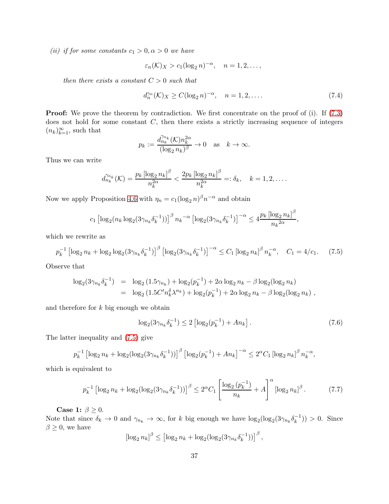(ii) if for some constants  $c_1 > 0, \alpha > 0$  we have

$$
\varepsilon_n(\mathcal{K})_X > c_1(\log_2 n)^{-\alpha}, \quad n = 1, 2, \ldots,
$$

then there exists a constant  $C > 0$  such that

$$
d_n^{\gamma_n}(\mathcal{K})_X \ge C(\log_2 n)^{-\alpha}, \quad n = 1, 2, \dots
$$
\n
$$
(7.4)
$$

**Proof:** We prove the theorem by contradiction. We first concentrate on the proof of (i). If [\(7.3\)](#page-35-1) does not hold for some constant  $C$ , then there exists a strictly increasing sequence of integers  $(n_k)_{k=1}^{\infty}$ , such that

$$
p_k := \frac{d_{n_k}^{\gamma_{n_k}}(\mathcal{K})n_k^{2\alpha}}{(\log_2 n_k)^{\beta}} \to 0 \quad \text{as} \quad k \to \infty.
$$

Thus we can write

$$
d_{n_k}^{\gamma_{n_k}}(\mathcal{K}) = \frac{p_k \left[ \log_2 n_k \right]^{\beta}}{n_k^{2\alpha}} < \frac{2p_k \left[ \log_2 n_k \right]^{\beta}}{n_k^{2\alpha}} =: \delta_k, \quad k = 1, 2, \dots.
$$

Now we apply Proposition [4.6](#page-18-1) with  $\eta_n = c_1(\log_2 n)^{\beta} n^{-\alpha}$  and obtain

$$
c_1 \left[ \log_2(n_k \log_2(3\gamma_{n_k} \delta_k^{-1})) \right]^{\beta} n_k^{-\alpha} \left[ \log_2(3\gamma_{n_k} \delta_k^{-1}) \right]^{-\alpha} \le 4 \frac{p_k \left[ \log_2 n_k \right]^{\beta}}{n_k^{2\alpha}},
$$

which we rewrite as

<span id="page-36-0"></span>
$$
p_k^{-1} \left[ \log_2 n_k + \log_2 \log_2 (3\gamma_{n_k} \delta_k^{-1}) \right]^\beta \left[ \log_2 (3\gamma_{n_k} \delta_k^{-1}) \right]^{-\alpha} \le C_1 \left[ \log_2 n_k \right]^\beta n_k^{-\alpha}, \quad C_1 = 4/c_1. \tag{7.5}
$$

Observe that

$$
\log_2(3\gamma_{n_k}\delta_k^{-1}) = \log_2(1.5\gamma_{n_k}) + \log_2(p_k^{-1}) + 2\alpha \log_2 n_k - \beta \log_2(\log_2 n_k)
$$
  
= 
$$
\log_2(1.5C'n_k^{\delta}\lambda^{n_k}) + \log_2(p_k^{-1}) + 2\alpha \log_2 n_k - \beta \log_2(\log_2 n_k),
$$

and therefore for  $k$  big enough we obtain

<span id="page-36-2"></span>
$$
\log_2(3\gamma_{n_k}\delta_k^{-1}) \le 2\left[\log_2(p_k^{-1}) + An_k\right].\tag{7.6}
$$

The latter inequality and [\(7.5\)](#page-36-0) give

$$
p_k^{-1} \left[ \log_2 n_k + \log_2 (\log_2(3\gamma_{n_k} \delta_k^{-1})) \right]^{\beta} \left[ \log_2(p_k^{-1}) + An_k \right]^{-\alpha} \le 2^{\alpha} C_1 \left[ \log_2 n_k \right]^{\beta} n_k^{-\alpha},
$$

which is equivalent to

<span id="page-36-1"></span>
$$
p_k^{-1} \left[ \log_2 n_k + \log_2 (\log_2 (3\gamma_{n_k} \delta_k^{-1})) \right]^\beta \le 2^\alpha C_1 \left[ \frac{\log_2 (p_k^{-1})}{n_k} + A \right]^\alpha \left[ \log_2 n_k \right]^\beta. \tag{7.7}
$$

Case 1:  $\beta \geq 0$ .

Note that since  $\delta_k \to 0$  and  $\gamma_{n_k} \to \infty$ , for k big enough we have  $\log_2(\log_2(3\gamma_{n_k}\delta_k^{-1})) > 0$ . Since  $\beta \geq 0$ , we have

$$
\left[\log_2 n_k\right]^\beta \le \left[\log_2 n_k + \log_2 \left(\log_2 \left(3\gamma_{n_k} \delta_k^{-1}\right)\right)\right]^\beta,
$$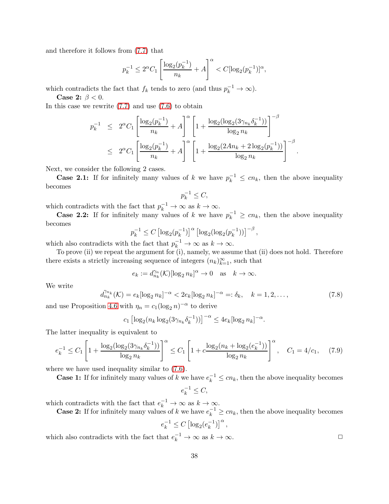and therefore it follows from [\(7.7\)](#page-36-1) that

$$
p_k^{-1} \le 2^{\alpha} C_1 \left[ \frac{\log_2(p_k^{-1})}{n_k} + A \right]^{\alpha} < C[\log_2(p_k^{-1})]^{\alpha},
$$

which contradicts the fact that  $f_k$  tends to zero (and thus  $p_k^{-1} \to \infty$ ).

Case 2:  $\beta < 0$ .

In this case we rewrite  $(7.7)$  and use  $(7.6)$  to obtain

$$
p_k^{-1} \le 2^{\alpha} C_1 \left[ \frac{\log_2(p_k^{-1})}{n_k} + A \right]^{\alpha} \left[ 1 + \frac{\log_2(\log_2(3\gamma_{n_k}\delta_k^{-1}))}{\log_2 n_k} \right]^{-\beta}
$$
  

$$
\le 2^{\alpha} C_1 \left[ \frac{\log_2(p_k^{-1})}{n_k} + A \right]^{\alpha} \left[ 1 + \frac{\log_2(2An_k + 2\log_2(p_k^{-1}))}{\log_2 n_k} \right]^{-\beta}.
$$

Next, we consider the following 2 cases.

**Case 2.1:** If for infinitely many values of k we have  $p_k^{-1} \le cn_k$ , then the above inequality becomes

$$
p_k^{-1} \le C,
$$

which contradicts with the fact that  $p_k^{-1} \to \infty$  as  $k \to \infty$ .

**Case 2.2:** If for infinitely many values of k we have  $p_k^{-1} \ge cn_k$ , then the above inequality becomes

$$
p_k^{-1} \le C \left[ \log_2(p_k^{-1}) \right]^\alpha \left[ \log_2(\log_2(p_k^{-1})) \right]^{-\beta},
$$

which also contradicts with the fact that  $p_k^{-1} \to \infty$  as  $k \to \infty$ .

To prove (ii) we repeat the argument for (i), namely, we assume that (ii) does not hold. Therefore there exists a strictly increasing sequence of integers  $(n_k)_{k=1}^{\infty}$ , such that

$$
e_k := d_{n_k}^{\gamma_n}(\mathcal{K})[\log_2 n_k]^{\alpha} \to 0 \quad \text{as} \quad k \to \infty.
$$

We write

$$
d_{n_k}^{\gamma_{n_k}}(\mathcal{K}) = e_k [\log_2 n_k]^{-\alpha} < 2e_k [\log_2 n_k]^{-\alpha} =: \delta_k, \quad k = 1, 2, \dots,\tag{7.8}
$$

and use Proposition [4.6](#page-18-1) with  $\eta_n = c_1(\log_2 n)^{-\alpha}$  to derive

$$
c_1 \left[ \log_2(n_k \log_2(3\gamma_{n_k} \delta_k^{-1})) \right]^{-\alpha} \leq 4e_k \log_2 n_k]^{-\alpha}.
$$

The latter inequality is equivalent to

$$
e_k^{-1} \le C_1 \left[ 1 + \frac{\log_2(\log_2(3\gamma_{n_k}\delta_k^{-1}))}{\log_2 n_k} \right]^\alpha \le C_1 \left[ 1 + c \frac{\log_2(n_k + \log_2(e_k^{-1}))}{\log_2 n_k} \right]^\alpha, \quad C_1 = 4/c_1, \tag{7.9}
$$

where we have used inequality similar to  $(7.6)$ .

**Case 1:** If for infinitely many values of k we have  $e_k^{-1} \le cn_k$ , then the above inequality becomes

$$
e_k^{-1} \le C,
$$

which contradicts with the fact that  $e_k^{-1} \to \infty$  as  $k \to \infty$ .

**Case 2:** If for infinitely many values of k we have  $e_k^{-1} \ge cn_k$ , then the above inequality becomes

$$
e_k^{-1} \leq C \left[\log_2(e_k^{-1})\right]^{\alpha},
$$

which also contradicts with the fact that  $e_k^{-1} \to \infty$  as  $k \to \infty$ .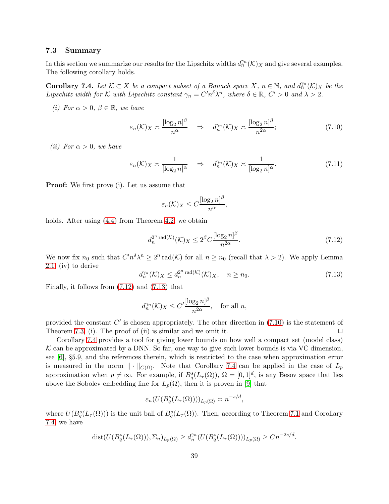#### 7.3 Summary

In this section we summarize our results for the Lipschitz widths  $d_n^{\gamma_n}(\mathcal{K})_X$  and give several examples. The following corollary holds.

<span id="page-38-0"></span>**Corollary 7.4.** Let  $K \subset X$  be a compact subset of a Banach space  $X, n \in \mathbb{N}$ , and  $d_n^{\gamma_n}(K)_X$  be the Lipschitz width for K with Lipschitz constant  $\gamma_n = C'n^{\delta} \lambda^n$ , where  $\delta \in \mathbb{R}$ ,  $C' > 0$  and  $\lambda > 2$ .

(i) For  $\alpha > 0$ ,  $\beta \in \mathbb{R}$ , we have

<span id="page-38-1"></span>
$$
\varepsilon_n(\mathcal{K})_X \asymp \frac{[\log_2 n]^\beta}{n^\alpha} \quad \Rightarrow \quad d_n^{\gamma_n}(\mathcal{K})_X \asymp \frac{[\log_2 n]^\beta}{n^{2\alpha}};\tag{7.10}
$$

(*ii*) For  $\alpha > 0$ , we have

$$
\varepsilon_n(\mathcal{K})_X \asymp \frac{1}{[\log_2 n]^\alpha} \quad \Rightarrow \quad d_n^{\gamma_n}(\mathcal{K})_X \asymp \frac{1}{[\log_2 n]^\alpha}.\tag{7.11}
$$

Proof: We first prove (i). Let us assume that

$$
\varepsilon_n(\mathcal{K})_X \le C \frac{[\log_2 n]^\beta}{n^\alpha},
$$

holds. After using  $(4.4)$  from Theorem [4.2,](#page-14-0) we obtain

<span id="page-38-2"></span>
$$
d_n^{2^n \operatorname{rad}(\mathcal{K})}(\mathcal{K})_X \le 2^\beta C \frac{[\log_2 n]^\beta}{n^{2\alpha}}.\tag{7.12}
$$

We now fix  $n_0$  such that  $C'n^{\delta}\lambda^n \geq 2^n \text{rad}(\mathcal{K})$  for all  $n \geq n_0$  (recall that  $\lambda > 2$ ). We apply Lemma [2.1,](#page-2-5) (iv) to derive

<span id="page-38-3"></span>
$$
d_n^{\gamma_n}(\mathcal{K})_X \le d_n^{2^n \operatorname{rad}(\mathcal{K})}(\mathcal{K})_X, \quad n \ge n_0. \tag{7.13}
$$

Finally, it follows from [\(7.12\)](#page-38-2) and [\(7.13\)](#page-38-3) that

$$
d_n^{\gamma_n}(\mathcal{K})_X \le C' \frac{[\log_2 n]^\beta}{n^{2\alpha}}, \text{ for all } n,
$$

provided the constant  $C'$  is chosen appropriately. The other direction in  $(7.10)$  is the statement of Theorem [7.3,](#page-35-0) (i). The proof of (ii) is similar and we omit it.  $\square$ 

Corollary [7.4](#page-38-0) provides a tool for giving lower bounds on how well a compact set (model class)  $K$  can be approximated by a DNN. So far, one way to give such lower bounds is via VC dimension, see [\[6\]](#page-39-2), §5.9, and the references therein, which is restricted to the case when approximation error is measured in the norm  $\|\cdot\|_{C(\Omega)}$ . Note that Corollary [7.4](#page-38-0) can be applied in the case of  $L_p$ approximation when  $p \neq \infty$ . For example, if  $B_q^s(L_\tau(\Omega))$ ,  $\Omega = [0,1]^d$ , is any Besov space that lies above the Sobolev embedding line for  $L_p(\Omega)$ , then it is proven in [\[9\]](#page-39-11) that

$$
\varepsilon_n(U(B_q^s(L_\tau(\Omega))))_{L_p(\Omega)} \asymp n^{-s/d},
$$

where  $U(B_q^s(L_\tau(\Omega)))$  is the unit ball of  $B_q^s(L_\tau(\Omega))$ . Then, according to Theorem [7.1](#page-33-1) and Corollary [7.4,](#page-38-0) we have

$$
dist(U(B_q^s(L_\tau(\Omega))), \Sigma_n)_{L_p(\Omega)} \ge d_{\tilde{n}}^{\gamma_n}(U(B_q^s(L_\tau(\Omega))))_{L_p(\Omega)} \ge Cn^{-2s/d}.
$$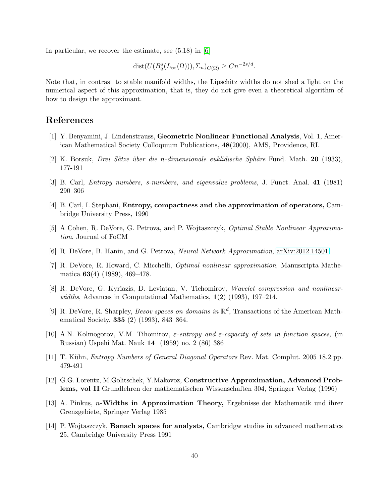In particular, we recover the estimate, see (5.18) in [\[6\]](#page-39-2)

$$
dist(U(B_q^s(L_\infty(\Omega))), \Sigma_n)_{C(\Omega)} \ge Cn^{-2s/d}.
$$

Note that, in contrast to stable manifold widths, the Lipschitz widths do not shed a light on the numerical aspect of this approximation, that is, they do not give even a theoretical algorithm of how to design the approximant.

# References

- <span id="page-39-10"></span>[1] Y. Benyamini, J. Lindenstrauss, Geometric Nonlinear Functional Analysis, Vol. 1, American Mathematical Society Colloquium Publications, 48(2000), AMS, Providence, RI.
- <span id="page-39-7"></span> $[2]$  K. Borsuk, *Drei Sätze über die n-dimensionale euklidische Sphäre* Fund. Math. **20** (1933), 177-191
- <span id="page-39-3"></span>[3] B. Carl, Entropy numbers, s-numbers, and eigenvalue problems, J. Funct. Anal. 41 (1981) 290–306
- <span id="page-39-1"></span>[4] B. Carl, I. Stephani, Entropy, compactness and the approximation of operators, Cambridge University Press, 1990
- <span id="page-39-2"></span>[5] A Cohen, R. DeVore, G. Petrova, and P. Wojtaszczyk, Optimal Stable Nonlinear Approximation, Journal of FoCM
- <span id="page-39-9"></span>[6] R. DeVore, B. Hanin, and G. Petrova, Neural Network Approximation, [arXiv:2012.14501](http://arxiv.org/abs/2012.14501)
- <span id="page-39-0"></span>[7] R. DeVore, R. Howard, C. Micchelli, Optimal nonlinear approximation, Manuscripta Mathematica 63(4) (1989), 469–478.
- [8] R. DeVore, G. Kyriazis, D. Leviatan, V. Tichomirov, Wavelet compression and nonlinearwidths, Advances in Computational Mathematics,  $\mathbf{1}(2)$  (1993), 197–214.
- <span id="page-39-11"></span>[9] R. DeVore, R. Sharpley, *Besov spaces on domains in*  $\mathbb{R}^d$ , Transactions of the American Mathematical Society, 335 (2) (1993), 843–864.
- [10] A.N. Kolmogorov, V.M. Tihomirov,  $\varepsilon$ -entropy and  $\varepsilon$ -capacity of sets in function spaces, (in Russian) Uspehi Mat. Nauk 14 (1959) no. 2 (86) 386
- <span id="page-39-8"></span><span id="page-39-6"></span>[11] T. Kühn, *Entropy Numbers of General Diagonal Operators* Rev. Mat. Complut. 2005 18.2 pp. 479-491
- [12] G.G. Lorentz, M.Golitschek, Y.Makovoz, Constructive Approximation, Advanced Problems, vol II Grundlehren der mathematischen Wissenschaften 304, Springer Verlag (1996)
- <span id="page-39-5"></span>[13] A. Pinkus, n-Widths in Approximation Theory, Ergebnisse der Mathematik und ihrer Grenzgebiete, Springer Verlag 1985
- <span id="page-39-4"></span>[14] P. Wojtaszczyk, Banach spaces for analysts, Cambridgw studies in advanced mathematics 25, Cambridge University Press 1991